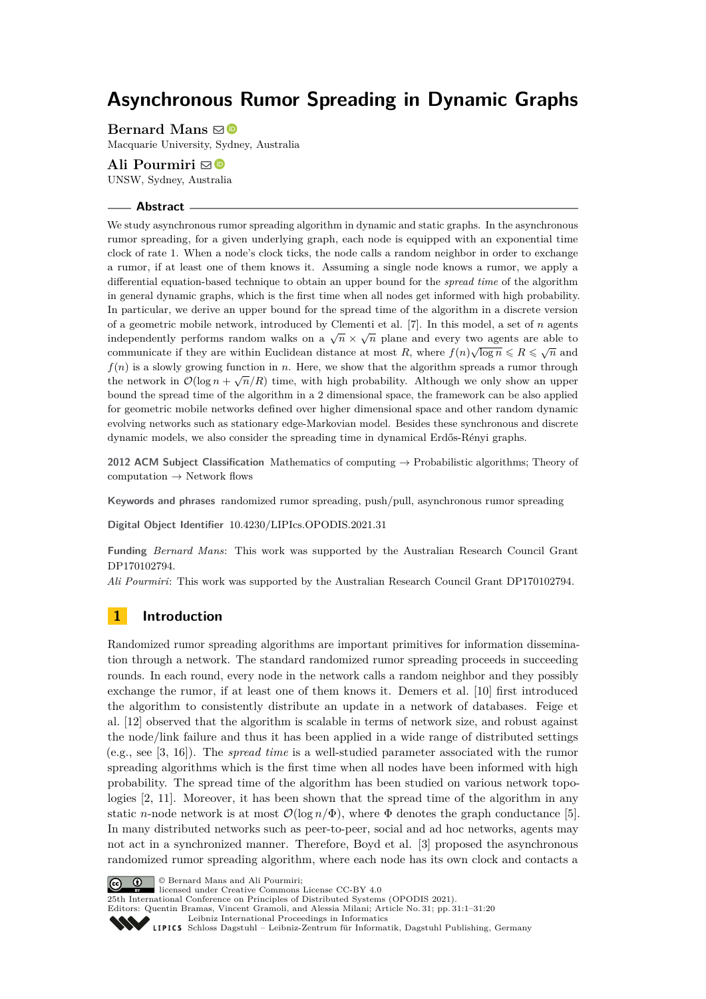# **Asynchronous Rumor Spreading in Dynamic Graphs**

**Bernard Mans**  $\boxtimes$   $\bullet$ 

Macquarie University, Sydney, Australia

# **Ali Pourmiri** ⊠<sup>■</sup>

UNSW, Sydney, Australia

## **Abstract**

We study asynchronous rumor spreading algorithm in dynamic and static graphs. In the asynchronous rumor spreading, for a given underlying graph, each node is equipped with an exponential time clock of rate 1. When a node's clock ticks, the node calls a random neighbor in order to exchange a rumor, if at least one of them knows it. Assuming a single node knows a rumor, we apply a differential equation-based technique to obtain an upper bound for the *spread time* of the algorithm in general dynamic graphs, which is the first time when all nodes get informed with high probability. In particular, we derive an upper bound for the spread time of the algorithm in a discrete version of a geometric mobile network, introduced by Clementi et al. [\[7\]](#page-13-0). In this model, a set of *n* agents independently performs random walks on a  $\sqrt{n} \times \sqrt{n}$  plane and every two agents are able to  $\sqrt{n}$ communicate if they are within Euclidean distance at most R, where  $f(n)\sqrt{\log n} \le R \le \sqrt{n}$  and *f*(*n*) is a slowly growing function in *n*. Here, we show that the algorithm spreads a rumor through  $f(t)$  is a slowly growing function in *n*. First, we show that the algorithm spreads a runtor through the network in  $\mathcal{O}(\log n + \sqrt{n}/R)$  time, with high probability. Although we only show an upper bound the spread time of the algorithm in a 2 dimensional space, the framework can be also applied for geometric mobile networks defined over higher dimensional space and other random dynamic evolving networks such as stationary edge-Markovian model. Besides these synchronous and discrete dynamic models, we also consider the spreading time in dynamical Erdős-Rényi graphs.

**2012 ACM Subject Classification** Mathematics of computing → Probabilistic algorithms; Theory of computation  $\rightarrow$  Network flows

**Keywords and phrases** randomized rumor spreading, push/pull, asynchronous rumor spreading

**Digital Object Identifier** [10.4230/LIPIcs.OPODIS.2021.31](https://doi.org/10.4230/LIPIcs.OPODIS.2021.31)

**Funding** *Bernard Mans*: This work was supported by the Australian Research Council Grant DP170102794.

*Ali Pourmiri*: This work was supported by the Australian Research Council Grant DP170102794.

# **1 Introduction**

Randomized rumor spreading algorithms are important primitives for information dissemination through a network. The standard randomized rumor spreading proceeds in succeeding rounds. In each round, every node in the network calls a random neighbor and they possibly exchange the rumor, if at least one of them knows it. Demers et al. [\[10\]](#page-13-1) first introduced the algorithm to consistently distribute an update in a network of databases. Feige et al. [\[12\]](#page-13-2) observed that the algorithm is scalable in terms of network size, and robust against the node/link failure and thus it has been applied in a wide range of distributed settings (e.g., see [\[3,](#page-13-3) [16\]](#page-13-4)). The *spread time* is a well-studied parameter associated with the rumor spreading algorithms which is the first time when all nodes have been informed with high probability. The spread time of the algorithm has been studied on various network topologies [\[2,](#page-13-5) [11\]](#page-13-6). Moreover, it has been shown that the spread time of the algorithm in any static *n*-node network is at most  $\mathcal{O}(\log n/\Phi)$ , where  $\Phi$  denotes the graph conductance [\[5\]](#page-13-7). In many distributed networks such as peer-to-peer, social and ad hoc networks, agents may not act in a synchronized manner. Therefore, Boyd et al. [\[3\]](#page-13-3) proposed the asynchronous randomized rumor spreading algorithm, where each node has its own clock and contacts a



licensed under Creative Commons License CC-BY 4.0

25th International Conference on Principles of Distributed Systems (OPODIS 2021). Editors: Quentin Bramas, Vincent Gramoli, and Alessia Milani; Article No. 31; pp. 31:1–31:20

[Leibniz International Proceedings in Informatics](https://www.dagstuhl.de/lipics/)

[Schloss Dagstuhl – Leibniz-Zentrum für Informatik, Dagstuhl Publishing, Germany](https://www.dagstuhl.de)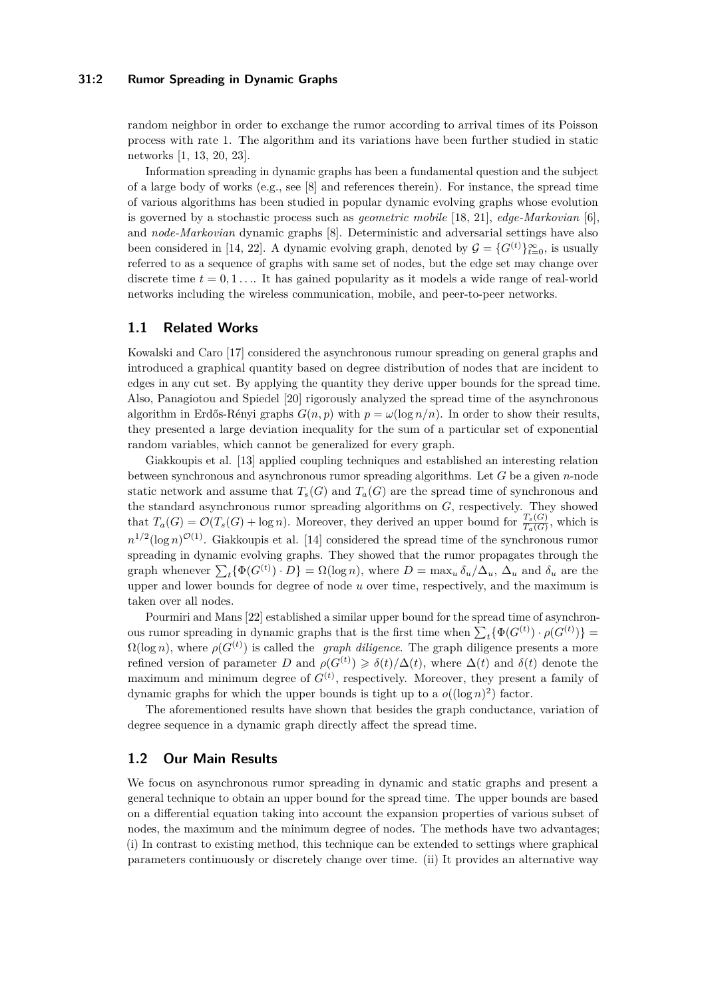### **31:2 Rumor Spreading in Dynamic Graphs**

random neighbor in order to exchange the rumor according to arrival times of its Poisson process with rate 1. The algorithm and its variations have been further studied in static networks [\[1,](#page-13-8) [13,](#page-13-9) [20,](#page-14-0) [23\]](#page-14-1).

Information spreading in dynamic graphs has been a fundamental question and the subject of a large body of works (e.g., see [\[8\]](#page-13-10) and references therein). For instance, the spread time of various algorithms has been studied in popular dynamic evolving graphs whose evolution is governed by a stochastic process such as *geometric mobile* [\[18,](#page-14-2) [21\]](#page-14-3), *edge-Markovian* [\[6\]](#page-13-11), and *node-Markovian* dynamic graphs [\[8\]](#page-13-10). Deterministic and adversarial settings have also been considered in [\[14,](#page-13-12) [22\]](#page-14-4). A dynamic evolving graph, denoted by  $\mathcal{G} = \{G^{(t)}\}_{t=0}^{\infty}$ , is usually referred to as a sequence of graphs with same set of nodes, but the edge set may change over discrete time  $t = 0, 1, \ldots$  It has gained popularity as it models a wide range of real-world networks including the wireless communication, mobile, and peer-to-peer networks.

# **1.1 Related Works**

Kowalski and Caro [\[17\]](#page-14-5) considered the asynchronous rumour spreading on general graphs and introduced a graphical quantity based on degree distribution of nodes that are incident to edges in any cut set. By applying the quantity they derive upper bounds for the spread time. Also, Panagiotou and Spiedel [\[20\]](#page-14-0) rigorously analyzed the spread time of the asynchronous algorithm in Erdős-Rényi graphs  $G(n, p)$  with  $p = \omega(\log n/n)$ . In order to show their results, they presented a large deviation inequality for the sum of a particular set of exponential random variables, which cannot be generalized for every graph.

Giakkoupis et al. [\[13\]](#page-13-9) applied coupling techniques and established an interesting relation between synchronous and asynchronous rumor spreading algorithms. Let *G* be a given *n*-node static network and assume that  $T_s(G)$  and  $T_a(G)$  are the spread time of synchronous and the standard asynchronous rumor spreading algorithms on *G*, respectively. They showed that  $T_a(G) = \mathcal{O}(T_s(G) + \log n)$ . Moreover, they derived an upper bound for  $\frac{T_s(G)}{T_a(G)}$ , which is  $n^{1/2}(\log n)^{\mathcal{O}(1)}$ . Giakkoupis et al. [\[14\]](#page-13-12) considered the spread time of the synchronous rumor spreading in dynamic evolving graphs. They showed that the rumor propagates through the graph whenever  $\sum_{t} {\Phi(G^{(t)}) \cdot D} = \Omega(\log n)$ , where  $D = \max_{u} \delta_u / \Delta_u$ ,  $\Delta_u$  and  $\delta_u$  are the upper and lower bounds for degree of node *u* over time, respectively, and the maximum is taken over all nodes.

Pourmiri and Mans [\[22\]](#page-14-4) established a similar upper bound for the spread time of asynchronous rumor spreading in dynamic graphs that is the first time when  $\sum_t {\Phi(G^{(t)}) \cdot \rho(G^{(t)})} =$  $\Omega(\log n)$ , where  $\rho(G^{(t)})$  is called the *graph diligence*. The graph diligence presents a more refined version of parameter *D* and  $\rho(G^{(t)}) \geq \delta(t)/\Delta(t)$ , where  $\Delta(t)$  and  $\delta(t)$  denote the maximum and minimum degree of  $G<sup>(t)</sup>$ , respectively. Moreover, they present a family of dynamic graphs for which the upper bounds is tight up to a  $o((\log n)^2)$  factor.

The aforementioned results have shown that besides the graph conductance, variation of degree sequence in a dynamic graph directly affect the spread time.

# **1.2 Our Main Results**

We focus on asynchronous rumor spreading in dynamic and static graphs and present a general technique to obtain an upper bound for the spread time. The upper bounds are based on a differential equation taking into account the expansion properties of various subset of nodes, the maximum and the minimum degree of nodes. The methods have two advantages; (i) In contrast to existing method, this technique can be extended to settings where graphical parameters continuously or discretely change over time. (ii) It provides an alternative way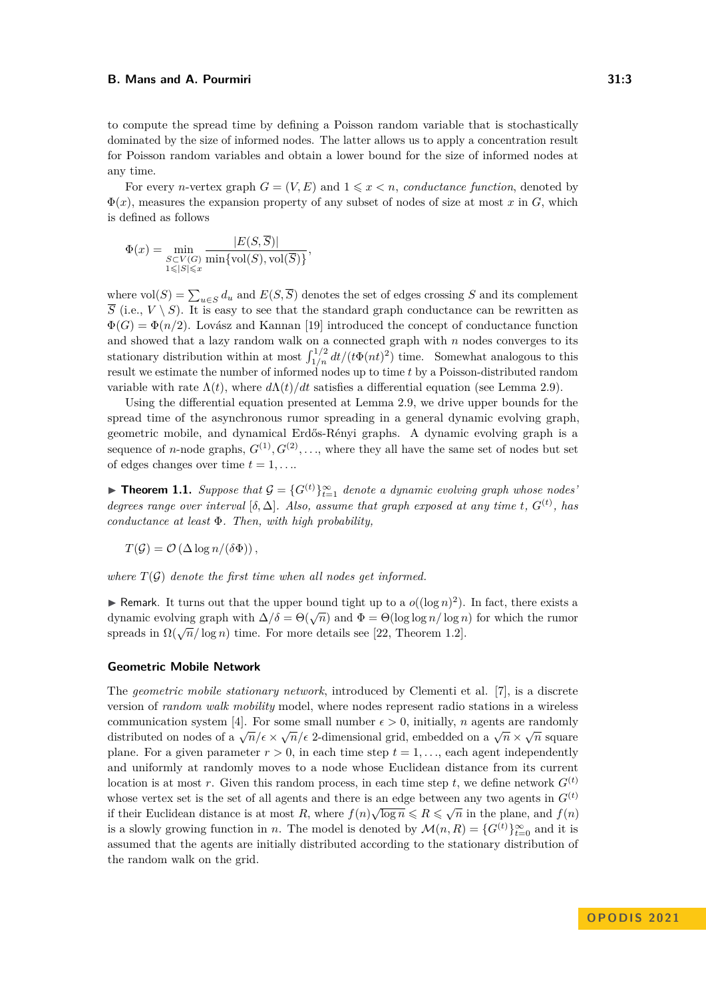to compute the spread time by defining a Poisson random variable that is stochastically dominated by the size of informed nodes. The latter allows us to apply a concentration result for Poisson random variables and obtain a lower bound for the size of informed nodes at any time.

For every *n*-vertex graph  $G = (V, E)$  and  $1 \leq x \leq n$ , *conductance function*, denoted by  $\Phi(x)$ , measures the expansion property of any subset of nodes of size at most *x* in *G*, which is defined as follows

$$
\Phi(x) = \min_{\substack{S \subset V(G) \\ 1 \leq |S| \leq x}} \frac{|E(S, \overline{S})|}{\min{\mathrm{vol}(S), \mathrm{vol}(\overline{S})}},
$$

where  $\text{vol}(S) = \sum_{u \in S} d_u$  and  $E(S, \overline{S})$  denotes the set of edges crossing *S* and its complement  $\overline{S}$  (i.e.,  $V \setminus S$ ). It is easy to see that the standard graph conductance can be rewritten as  $\Phi(G) = \Phi(n/2)$ . Lovász and Kannan [\[19\]](#page-14-6) introduced the concept of conductance function and showed that a lazy random walk on a connected graph with *n* nodes converges to its stationary distribution within at most  $\int_{1/n}^{1/2} dt/(t\Phi(nt)^2)$  time. Somewhat analogous to this result we estimate the number of informed nodes up to time *t* by a Poisson-distributed random variable with rate  $\Lambda(t)$ , where  $d\Lambda(t)/dt$  satisfies a differential equation (see Lemma [2.9\)](#page-5-0).

Using the differential equation presented at Lemma [2.9,](#page-5-0) we drive upper bounds for the spread time of the asynchronous rumor spreading in a general dynamic evolving graph, geometric mobile, and dynamical Erdős-Rényi graphs. A dynamic evolving graph is a sequence of *n*-node graphs,  $G^{(1)}, G^{(2)}, \ldots$ , where they all have the same set of nodes but set of edges changes over time  $t = 1, \ldots$ .

<span id="page-2-0"></span>▶ **Theorem 1.1.** *Suppose that*  $G = \{G^{(t)}\}_{t=1}^{\infty}$  *denote a dynamic evolving graph whose nodes degrees range over interval* [ $\delta$ ,  $\Delta$ ]. Also, assume that graph exposed at any time t,  $G^{(t)}$ , has *conductance at least* Φ*. Then, with high probability,*

 $T(\mathcal{G}) = \mathcal{O}(\Delta \log n/(\delta \Phi))$ ,

*where*  $T(G)$  *denote the first time when all nodes get informed.* 

▶ Remark. It turns out that the upper bound tight up to a  $o((\log n)^2)$ . In fact, there exists a  $\Delta$  remark. It turns out that the upper bound tight up to a  $O(\log n)$ . In fact, there exists a dynamic evolving graph with  $\Delta/\delta = \Theta(\sqrt{n})$  and  $\Phi = \Theta(\log \log n / \log n)$  for which the rumor spreads in  $\Omega(\sqrt{n}/\log n)$  time. For more details see [\[22,](#page-14-4) Theorem 1.2].

# **Geometric Mobile Network**

<span id="page-2-1"></span>The *geometric mobile stationary network*, introduced by Clementi et al. [\[7\]](#page-13-0), is a discrete version of *random walk mobility* model, where nodes represent radio stations in a wireless communication system [\[4\]](#page-13-13). For some small number  $\epsilon > 0$ , initially, *n* agents are randomly distributed on nodes of a  $\sqrt{n}/\epsilon \times \sqrt{n}/\epsilon$  2-dimensional grid, embedded on a  $\sqrt{n} \times \sqrt{n}$  square plane. For a given parameter  $r > 0$ , in each time step  $t = 1, \ldots$ , each agent independently and uniformly at randomly moves to a node whose Euclidean distance from its current location is at most r. Given this random process, in each time step  $t$ , we define network  $G^{(t)}$ whose vertex set is the set of all agents and there is an edge between any two agents in  $G^{(t)}$ if their Euclidean distance is at most *R*, where  $f(n)\sqrt{\log n} \le R \le \sqrt{n}$  in the plane, and  $f(n)$ is a slowly growing function in *n*. The model is denoted by  $\mathcal{M}(n, R) = \{G^{(t)}\}_{t=0}^{\infty}$  and it is assumed that the agents are initially distributed according to the stationary distribution of the random walk on the grid.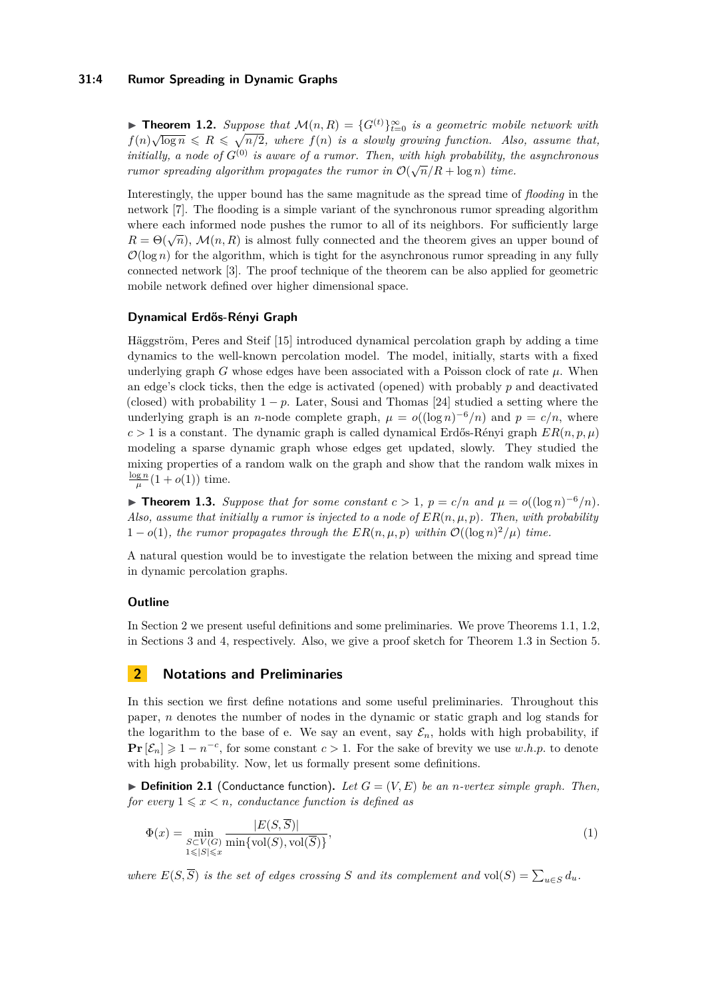### **31:4 Rumor Spreading in Dynamic Graphs**

**► Theorem 1.2.** *Suppose that*  $\mathcal{M}(n, R) = \{G^{(t)}\}_{t=0}^{\infty}$  *is a geometric mobile network with*  $f(n)\sqrt{\log n} \leq R \leq \sqrt{n/2}$ , where  $f(n)$  is a slowly growing function. Also, assume that, *initially, a node of*  $G^{(0)}$  *is aware of a rumor. Then, with high probability, the asynchronous rumor spreading algorithm propagates the rumor in*  $\mathcal{O}(\sqrt{n}/R + \log n)$  *time.* 

Interestingly, the upper bound has the same magnitude as the spread time of *flooding* in the network [\[7\]](#page-13-0). The flooding is a simple variant of the synchronous rumor spreading algorithm where each informed node pushes the rumor to all of its neighbors. For sufficiently large  $R = \Theta(\sqrt{n})$ ,  $\mathcal{M}(n, R)$  is almost fully connected and the theorem gives an upper bound of  $\mathcal{O}(\log n)$  for the algorithm, which is tight for the asynchronous rumor spreading in any fully connected network [\[3\]](#page-13-3). The proof technique of the theorem can be also applied for geometric mobile network defined over higher dimensional space.

### **Dynamical Erdős-Rényi Graph**

Häggström, Peres and Steif [\[15\]](#page-13-14) introduced dynamical percolation graph by adding a time dynamics to the well-known percolation model. The model, initially, starts with a fixed underlying graph *G* whose edges have been associated with a Poisson clock of rate  $\mu$ . When an edge's clock ticks, then the edge is activated (opened) with probably *p* and deactivated (closed) with probability  $1 - p$ . Later, Sousi and Thomas [\[24\]](#page-14-7) studied a setting where the underlying graph is an *n*-node complete graph,  $\mu = o((\log n)^{-6}/n)$  and  $p = c/n$ , where  $c > 1$  is a constant. The dynamic graph is called dynamical Erdős-Rényi graph  $ER(n, p, \mu)$ modeling a sparse dynamic graph whose edges get updated, slowly. They studied the mixing properties of a random walk on the graph and show that the random walk mixes in  $\frac{\log n}{\mu}(1+o(1))$  time.

<span id="page-3-1"></span>▶ **Theorem 1.3.** *Suppose that for some constant*  $c > 1$ ,  $p = c/n$  and  $\mu = o((\log n)^{-6}/n)$ *.* Also, assume that initially a rumor is injected to a node of  $ER(n, \mu, p)$ . Then, with probability  $1 - o(1)$ , the rumor propagates through the  $ER(n, \mu, p)$  within  $\mathcal{O}((\log n)^2/\mu)$  time.

A natural question would be to investigate the relation between the mixing and spread time in dynamic percolation graphs.

## **Outline**

In Section [2](#page-3-0) we present useful definitions and some preliminaries. We prove Theorems [1.1,](#page-2-0) [1.2,](#page-2-1) in Sections [3](#page-7-0) and [4,](#page-9-0) respectively. Also, we give a proof sketch for Theorem [1.3](#page-3-1) in Section [5.](#page-11-0)

# <span id="page-3-0"></span>**2 Notations and Preliminaries**

In this section we first define notations and some useful preliminaries. Throughout this paper, *n* denotes the number of nodes in the dynamic or static graph and log stands for the logarithm to the base of e. We say an event, say  $\mathcal{E}_n$ , holds with high probability, if **Pr**  $[\mathcal{E}_n]$  ≥ 1 − *n*<sup>-*c*</sup>, for some constant *c* > 1. For the sake of brevity we use *w.h.p.* to denote with high probability. Now, let us formally present some definitions.

 $\blacktriangleright$  **Definition 2.1** (Conductance function), Let  $G = (V, E)$  be an *n*-vertex simple graph. Then, *for every*  $1 \leq x \leq n$ *, conductance function is defined as* 

$$
\Phi(x) = \min_{\substack{S \subset V(G) \\ 1 \le |S| \le x}} \frac{|E(S, \overline{S})|}{\min\{\text{vol}(S), \text{vol}(\overline{S})\}},\tag{1}
$$

*where*  $E(S, \overline{S})$  *is the set of edges crossing S and its complement and* vol $(S) = \sum_{u \in S} d_u$ .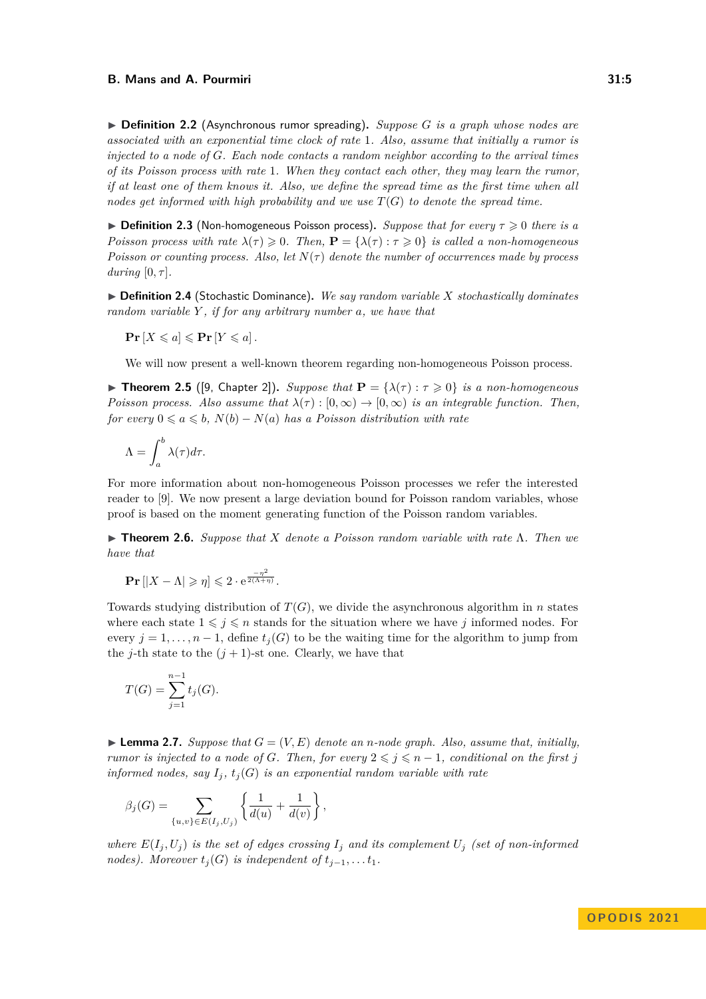▶ **Definition 2.2** (Asynchronous rumor spreading)**.** *Suppose G is a graph whose nodes are associated with an exponential time clock of rate* 1*. Also, assume that initially a rumor is injected to a node of G. Each node contacts a random neighbor according to the arrival times of its Poisson process with rate* 1*. When they contact each other, they may learn the rumor, if at least one of them knows it. Also, we define the spread time as the first time when all nodes get informed with high probability and we use T*(*G*) *to denote the spread time.*

▶ **Definition 2.3** (Non-homogeneous Poisson process)**.** *Suppose that for every τ* ⩾ 0 *there is a Poisson process with rate*  $\lambda(\tau) \geq 0$ . Then,  $\mathbf{P} = {\lambda(\tau) : \tau \geq 0}$  is called a non-homogeneous *Poisson or counting process. Also, let*  $N(\tau)$  *denote the number of occurrences made by process during*  $[0, \tau]$ *.* 

▶ **Definition 2.4** (Stochastic Dominance)**.** *We say random variable X stochastically dominates random variable Y , if for any arbitrary number a, we have that*

 $\Pr[X \leqslant a] \leqslant \Pr[Y \leqslant a]$ .

We will now present a well-known theorem regarding non-homogeneous Poisson process.

<span id="page-4-1"></span> $\triangleright$  **Theorem 2.5** ([\[9,](#page-13-15) Chapter 2]). *Suppose that*  $P = {\lambda(\tau) : \tau \ge 0}$  *is a non-homogeneous Poisson process. Also assume that*  $\lambda(\tau) : [0, \infty) \to [0, \infty)$  *is an integrable function. Then, for every*  $0 \le a \le b$ ,  $N(b) - N(a)$  *has a Poisson distribution with rate* 

$$
\Lambda = \int_{a}^{b} \lambda(\tau) d\tau.
$$

For more information about non-homogeneous Poisson processes we refer the interested reader to [\[9\]](#page-13-15). We now present a large deviation bound for Poisson random variables, whose proof is based on the moment generating function of the Poisson random variables.

<span id="page-4-2"></span>▶ **Theorem 2.6.** *Suppose that X denote a Poisson random variable with rate* Λ*. Then we have that*

$$
\mathbf{Pr}\left[|X-\Lambda|\geqslant \eta\right]\leqslant 2\cdot \mathrm{e}^{\frac{-\eta^2}{2(\Lambda+\eta)}}.
$$

Towards studying distribution of  $T(G)$ , we divide the asynchronous algorithm in *n* states where each state  $1 \leq j \leq n$  stands for the situation where we have j informed nodes. For every  $j = 1, \ldots, n - 1$ , define  $t_j(G)$  to be the waiting time for the algorithm to jump from the *j*-th state to the  $(j + 1)$ -st one. Clearly, we have that

$$
T(G) = \sum_{j=1}^{n-1} t_j(G).
$$

<span id="page-4-0"></span> $\blacktriangleright$  **Lemma 2.7.** *Suppose that*  $G = (V, E)$  *denote an n-node graph. Also, assume that, initially, rumor is injected to a node of G. Then, for every*  $2 \leq j \leq n-1$ , conditional on the first j *informed nodes, say*  $I_i$ ,  $t_i(G)$  *is an exponential random variable with rate* 

$$
\beta_j(G) = \sum_{\{u,v\} \in E(I_j, U_j)} \left\{ \frac{1}{d(u)} + \frac{1}{d(v)} \right\},\,
$$

*where*  $E(I_j, U_j)$  *is the set of edges crossing*  $I_j$  *and its complement*  $U_j$  *(set of non-informed nodes). Moreover*  $t_j(G)$  *is independent of*  $t_{j-1}, \ldots, t_1$ .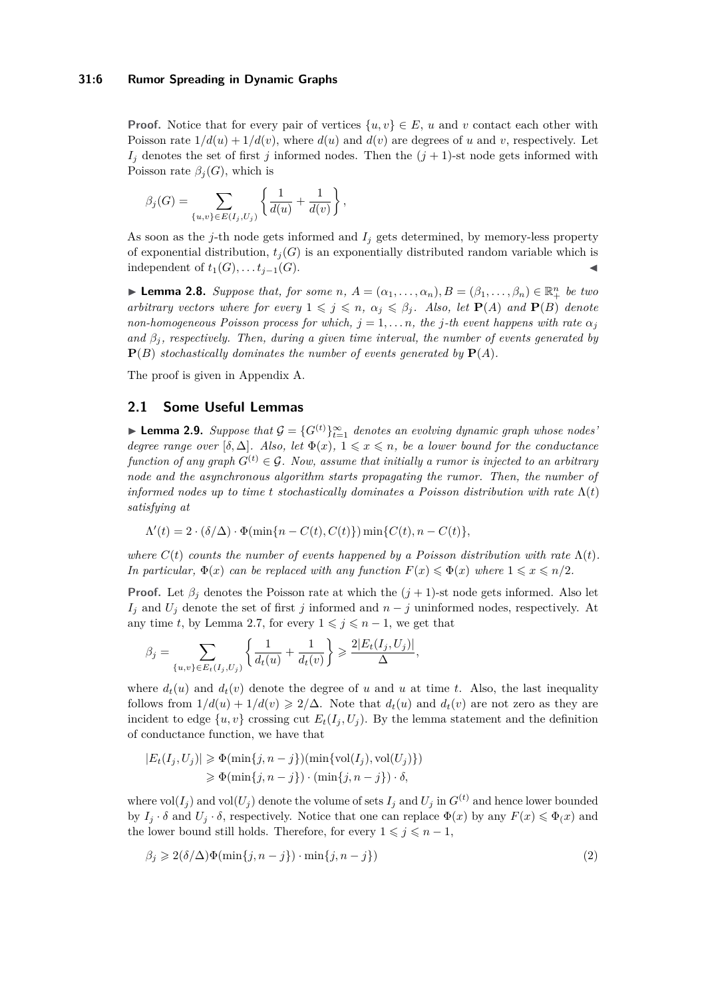### **31:6 Rumor Spreading in Dynamic Graphs**

**Proof.** Notice that for every pair of vertices  $\{u, v\} \in E$ , *u* and *v* contact each other with Poisson rate  $1/d(u) + 1/d(v)$ , where  $d(u)$  and  $d(v)$  are degrees of *u* and *v*, respectively. Let  $I_i$  denotes the set of first *j* informed nodes. Then the  $(j + 1)$ -st node gets informed with Poisson rate  $\beta_j(G)$ , which is

$$
\beta_j(G) = \sum_{\{u,v\} \in E(I_j, U_j)} \left\{ \frac{1}{d(u)} + \frac{1}{d(v)} \right\},\,
$$

As soon as the *j*-th node gets informed and *I<sup>j</sup>* gets determined, by memory-less property of exponential distribution,  $t_i(G)$  is an exponentially distributed random variable which is independent of  $t_1(G), \ldots, t_{i-1}(G)$ .

<span id="page-5-1"></span>▶ **Lemma 2.8.** Suppose that, for some  $n, A = (\alpha_1, \ldots, \alpha_n), B = (\beta_1, \ldots, \beta_n) \in \mathbb{R}_+^n$  be two *arbitrary vectors where for every*  $1 \leq j \leq n$ ,  $\alpha_j \leq \beta_j$ . Also, let  $P(A)$  and  $P(B)$  denote *non-homogeneous Poisson process for which,*  $j = 1, \ldots n$ *, the j*-th event happens with rate  $\alpha_j$ *and*  $\beta_i$ , *respectively. Then, during a given time interval, the number of events generated by*  $P(B)$  *stochastically dominates the number of events generated by*  $P(A)$ *.* 

The proof is given in Appendix [A.](#page-14-8)

# **2.1 Some Useful Lemmas**

<span id="page-5-0"></span>▶ **Lemma 2.9.** *Suppose that*  $G = \{G^{(t)}\}_{t=1}^{\infty}$  *denotes an evolving dynamic graph whose nodes degree range over*  $[\delta, \Delta]$ *. Also, let*  $\Phi(x)$ *,*  $1 \leq x \leq n$ *, be a lower bound for the conductance function of any graph*  $G^{(t)} \in \mathcal{G}$ . Now, assume that initially a rumor is injected to an arbitrary *node and the asynchronous algorithm starts propagating the rumor. Then, the number of informed nodes up to time t stochastically dominates a Poisson distribution with rate*  $\Lambda(t)$ *satisfying at*

$$
\Lambda'(t) = 2 \cdot (\delta/\Delta) \cdot \Phi(\min\{n - C(t), C(t)\}) \min\{C(t), n - C(t)\},\
$$

*where*  $C(t)$  *counts the number of events happened by a Poisson distribution with rate*  $\Lambda(t)$ *. In particular,*  $\Phi(x)$  *can be replaced with any function*  $F(x) \leq \Phi(x)$  *where*  $1 \leq x \leq n/2$ *.* 

**Proof.** Let  $\beta_j$  denotes the Poisson rate at which the  $(j + 1)$ -st node gets informed. Also let  $I_j$  and  $U_j$  denote the set of first *j* informed and  $n - j$  uninformed nodes, respectively. At any time *t*, by Lemma [2.7,](#page-4-0) for every  $1 \leq j \leq n-1$ , we get that

$$
\beta_j = \sum_{\{u,v\} \in E_t(I_j, U_j)} \left\{ \frac{1}{d_t(u)} + \frac{1}{d_t(v)} \right\} \geqslant \frac{2|E_t(I_j, U_j)|}{\Delta},
$$

where  $d_t(u)$  and  $d_t(v)$  denote the degree of *u* and *u* at time *t*. Also, the last inequality follows from  $1/d(u) + 1/d(v) \geq 2/\Delta$ . Note that  $d_t(u)$  and  $d_t(v)$  are not zero as they are incident to edge  $\{u, v\}$  crossing cut  $E_t(I_i, U_j)$ . By the lemma statement and the definition of conductance function, we have that

$$
|E_t(I_j, U_j)| \ge \Phi(\min\{j, n-j\}) (\min\{\text{vol}(I_j), \text{vol}(U_j)\})
$$
  

$$
\ge \Phi(\min\{j, n-j\}) \cdot (\min\{j, n-j\}) \cdot \delta,
$$

where  $vol(I_i)$  and  $vol(U_j)$  denote the volume of sets  $I_j$  and  $U_j$  in  $G^{(t)}$  and hence lower bounded by  $I_j \cdot \delta$  and  $U_j \cdot \delta$ , respectively. Notice that one can replace  $\Phi(x)$  by any  $F(x) \leq \Phi(x)$  and the lower bound still holds. Therefore, for every  $1 \leq j \leq n-1$ ,

<span id="page-5-2"></span>
$$
\beta_j \geqslant 2(\delta/\Delta)\Phi(\min\{j, n-j\}) \cdot \min\{j, n-j\})\tag{2}
$$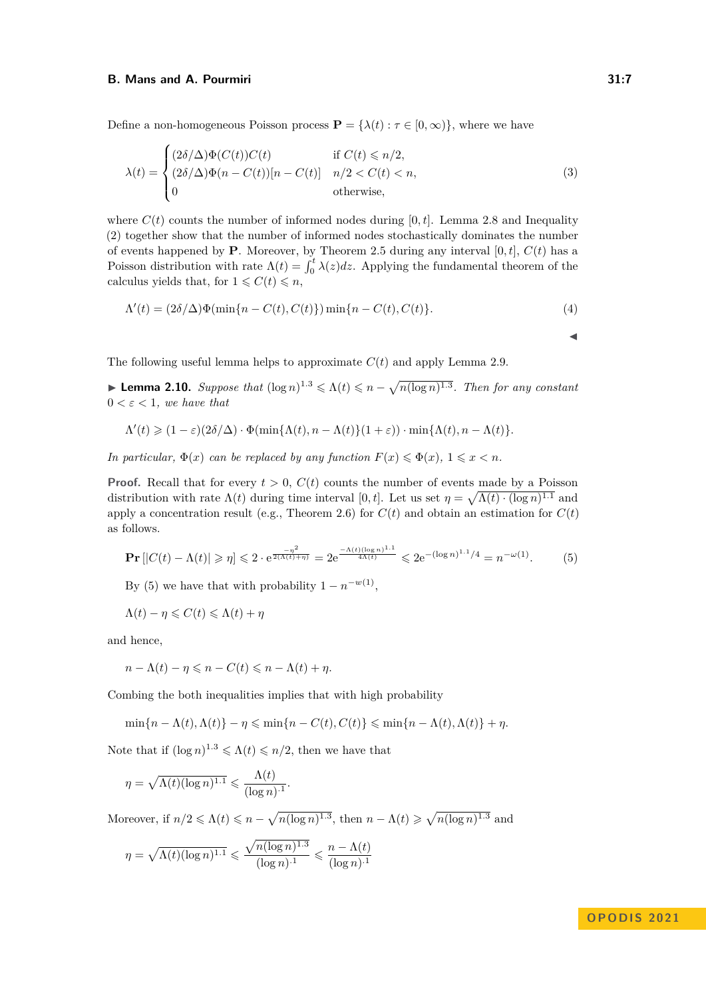Define a non-homogeneous Poisson process  $\mathbf{P} = {\lambda(t) : \tau \in [0, \infty)}$ , where we have

$$
\lambda(t) = \begin{cases}\n(2\delta/\Delta)\Phi(C(t))C(t) & \text{if } C(t) \le n/2, \\
(2\delta/\Delta)\Phi(n - C(t))[n - C(t)] & n/2 < C(t) < n, \\
0 & \text{otherwise,} \n\end{cases}
$$
\n(3)

where  $C(t)$  counts the number of informed nodes during [0, t]. Lemma [2.8](#page-5-1) and Inequality [\(2\)](#page-5-2) together show that the number of informed nodes stochastically dominates the number of events happened by **P**. Moreover, by Theorem [2.5](#page-4-1) during any interval  $[0, t]$ ,  $C(t)$  has a Poisson distribution with rate  $\Lambda(t) = \int_0^t \lambda(z) dz$ . Applying the fundamental theorem of the calculus yields that, for  $1 \leq C(t) \leq n$ ,

$$
\Lambda'(t) = (2\delta/\Delta)\Phi(\min\{n - C(t), C(t)\})\min\{n - C(t), C(t)\}.
$$
\n(4)

The following useful lemma helps to approximate  $C(t)$  and apply Lemma [2.9.](#page-5-0)

<span id="page-6-1"></span>▶ **Lemma 2.10.** *Suppose that*  $(\log n)^{1.3} \le \Lambda(t) \le n - \sqrt{n(\log n)^{1.3}}$ *. Then for any constant*  $0 < \varepsilon < 1$ *, we have that* 

$$
\Lambda'(t) \geq (1-\varepsilon)(2\delta/\Delta) \cdot \Phi(\min\{\Lambda(t), n-\Lambda(t)\}(1+\varepsilon)) \cdot \min\{\Lambda(t), n-\Lambda(t)\}.
$$

*In particular,*  $\Phi(x)$  *can be replaced by any function*  $F(x) \leq \Phi(x)$ ,  $1 \leq x \leq n$ *.* 

**Proof.** Recall that for every  $t > 0$ ,  $C(t)$  counts the number of events made by a Poisson distribution with rate  $\Lambda(t)$  during time interval [0, t]. Let us set  $\eta = \sqrt{\Lambda(t) \cdot (\log n)^{1.1}}$  and apply a concentration result (e.g., Theorem [2.6\)](#page-4-2) for  $C(t)$  and obtain an estimation for  $C(t)$ as follows.

$$
\mathbf{Pr}\left[|C(t) - \Lambda(t)| \geqslant \eta\right] \leqslant 2 \cdot e^{\frac{-\eta^2}{2(\Lambda(t)+\eta)}} = 2e^{\frac{-\Lambda(t)(\log n)^{1.1}}{4\Lambda(t)}} \leqslant 2e^{-(\log n)^{1.1}/4} = n^{-\omega(1)}.\tag{5}
$$

By [\(5\)](#page-6-0) we have that with probability  $1 - n^{-w(1)}$ ,

$$
\Lambda(t) - \eta \leqslant C(t) \leqslant \Lambda(t) + \eta
$$

and hence,

$$
n - \Lambda(t) - \eta \leqslant n - C(t) \leqslant n - \Lambda(t) + \eta.
$$

Combing the both inequalities implies that with high probability

$$
\min\{n - \Lambda(t), \Lambda(t)\} - \eta \le \min\{n - C(t), C(t)\} \le \min\{n - \Lambda(t), \Lambda(t)\} + \eta.
$$

Note that if  $(\log n)^{1.3} \le \Lambda(t) \le n/2$ , then we have that

$$
\eta = \sqrt{\Lambda(t) (\log n)^{1.1}} \leqslant \frac{\Lambda(t)}{(\log n)^{1.1}}.
$$

Moreover, if  $n/2 \le \Lambda(t) \le n - \sqrt{n(\log n)^{1.3}}$ , then  $n - \Lambda(t) \ge \sqrt{n(\log n)^{1.3}}$  and

$$
\eta = \sqrt{\Lambda(t)(\log n)^{1.1}} \leqslant \frac{\sqrt{n(\log n)^{1.3}}}{(\log n)^{.1}} \leqslant \frac{n - \Lambda(t)}{(\log n)^{.1}}
$$

# <span id="page-6-0"></span>**OPODIS 2021**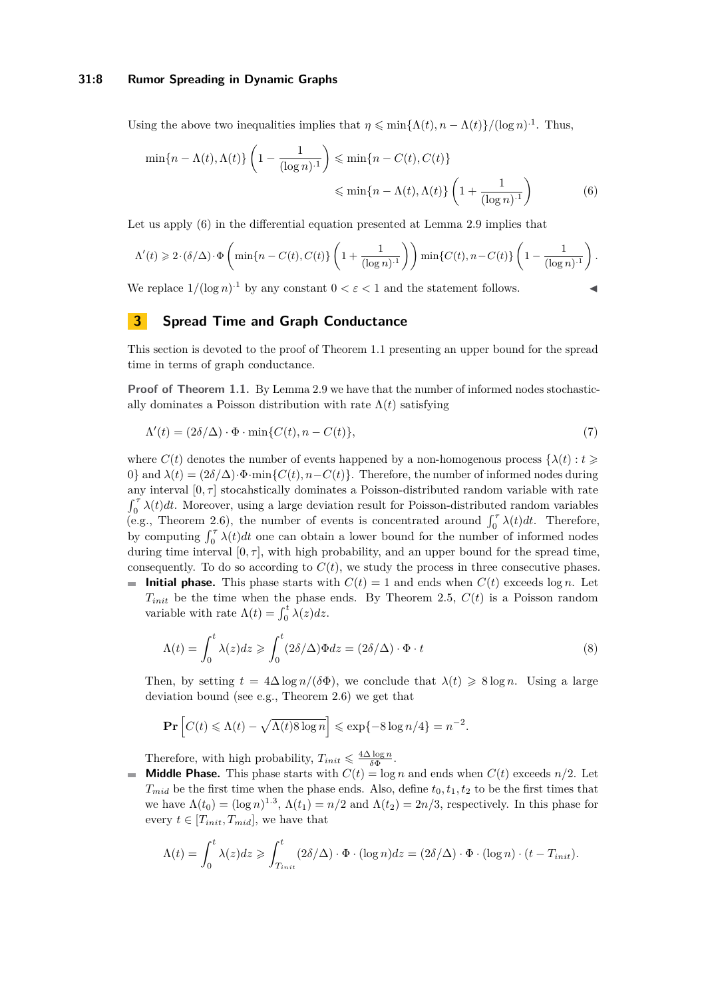### **31:8 Rumor Spreading in Dynamic Graphs**

Using the above two inequalities implies that  $\eta \leq \min\{\Lambda(t), n - \Lambda(t)\} / (\log n)^{-1}$ . Thus,

<span id="page-7-1"></span>
$$
\min\{n - \Lambda(t), \Lambda(t)\} \left(1 - \frac{1}{(\log n)^{1}}\right) \leqslant \min\{n - C(t), C(t)\}
$$

$$
\leqslant \min\{n - \Lambda(t), \Lambda(t)\} \left(1 + \frac{1}{(\log n)^{1}}\right) \tag{6}
$$

Let us apply [\(6\)](#page-7-1) in the differential equation presented at Lemma [2.9](#page-5-0) implies that

$$
\Lambda'(t) \geqslant 2 \cdot (\delta/\Delta) \cdot \Phi\left(\min\{n-C(t), C(t)\}\left(1+\frac{1}{(\log n)^{-1}}\right)\right) \min\{C(t), n-C(t)\}\left(1-\frac{1}{(\log n)^{-1}}\right).
$$

We replace  $1/(\log n)^{1}$  by any constant  $0 < \varepsilon < 1$  and the statement follows.

# <span id="page-7-0"></span>**3 Spread Time and Graph Conductance**

This section is devoted to the proof of Theorem [1.1](#page-2-0) presenting an upper bound for the spread time in terms of graph conductance.

**Proof of Theorem [1.1.](#page-2-0)** By Lemma [2.9](#page-5-0) we have that the number of informed nodes stochastically dominates a Poisson distribution with rate  $\Lambda(t)$  satisfying

$$
\Lambda'(t) = (2\delta/\Delta) \cdot \Phi \cdot \min\{C(t), n - C(t)\},\tag{7}
$$

where  $C(t)$  denotes the number of events happened by a non-homogenous process  $\{\lambda(t): t \geq 0\}$ 0} and  $\lambda(t) = (2\delta/\Delta) \cdot \Phi \cdot \min\{C(t), n - C(t)\}\$ . Therefore, the number of informed nodes during any interval  $[0, \tau]$  stocahstically dominates a Poisson-distributed random variable with rate  $\int_0^{\tau} \lambda(t) dt$ . Moreover, using a large deviation result for Poisson-distributed random variables (e.g., Theorem [2.6\)](#page-4-2), the number of events is concentrated around  $\int_0^{\tau} \lambda(t) dt$ . Therefore, by computing  $\int_0^{\tau} \lambda(t) dt$  one can obtain a lower bound for the number of informed nodes during time interval  $[0, \tau]$ , with high probability, and an upper bound for the spread time, consequently. To do so according to  $C(t)$ , we study the process in three consecutive phases.

**Initial phase.** This phase starts with  $C(t) = 1$  and ends when  $C(t)$  exceeds log *n*. Let  $T_{init}$  be the time when the phase ends. By Theorem [2.5,](#page-4-1)  $C(t)$  is a Poisson random variable with rate  $\Lambda(t) = \int_0^t \lambda(z) dz$ .

$$
\Lambda(t) = \int_0^t \lambda(z)dz \geqslant \int_0^t (2\delta/\Delta)\Phi dz = (2\delta/\Delta) \cdot \Phi \cdot t \tag{8}
$$

Then, by setting  $t = 4\Delta \log n / (\delta \Phi)$ , we conclude that  $\lambda(t) \geq 8 \log n$ . Using a large deviation bound (see e.g., Theorem [2.6\)](#page-4-2) we get that

$$
\mathbf{Pr}\left[C(t) \le \Lambda(t) - \sqrt{\Lambda(t)8\log n}\right] \le \exp\{-8\log n/4\} = n^{-2}.
$$

Therefore, with high probability,  $T_{init} \leq \frac{4\Delta \log n}{\delta \Phi}$ .

**Middle Phase.** This phase starts with  $C(t) = \log n$  and ends when  $C(t)$  exceeds  $n/2$ . Let  $\equiv$  $T_{mid}$  be the first time when the phase ends. Also, define  $t_0, t_1, t_2$  to be the first times that we have  $\Lambda(t_0) = (\log n)^{1.3}$ ,  $\Lambda(t_1) = n/2$  and  $\Lambda(t_2) = 2n/3$ , respectively. In this phase for every  $t \in [T_{init}, T_{mid}]$ , we have that

$$
\Lambda(t) = \int_0^t \lambda(z)dz \geq \int_{T_{init}}^t (2\delta/\Delta) \cdot \Phi \cdot (\log n)dz = (2\delta/\Delta) \cdot \Phi \cdot (\log n) \cdot (t - T_{init}).
$$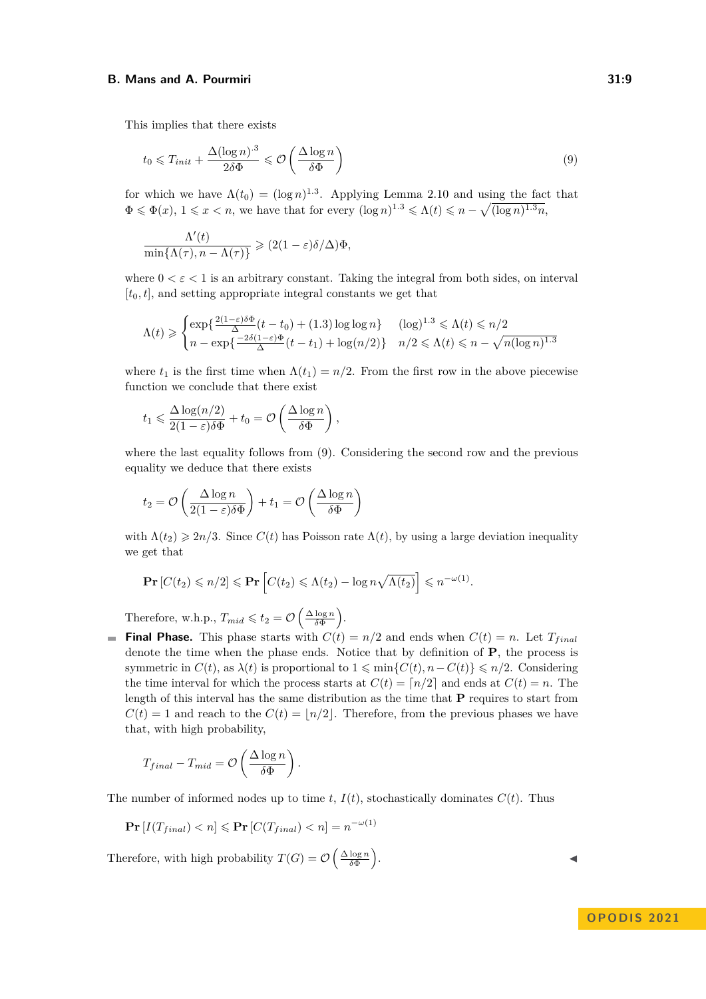This implies that there exists

<span id="page-8-0"></span>
$$
t_0 \leq T_{init} + \frac{\Delta(\log n)^{.3}}{2\delta\Phi} \leq \mathcal{O}\left(\frac{\Delta\log n}{\delta\Phi}\right) \tag{9}
$$

for which we have  $\Lambda(t_0) = (\log n)^{1.3}$ . Applying Lemma [2.10](#page-6-1) and using the fact that  $\Phi \leq \Phi(x)$ ,  $1 \leq x < n$ , we have that for every  $(\log n)^{1.3} \leq \Lambda(t) \leq n - \sqrt{(\log n)^{1.3}n}$ ,

$$
\frac{\Lambda'(t)}{\min\{\Lambda(\tau), n-\Lambda(\tau)\}} \geqslant (2(1-\varepsilon)\delta/\Delta)\Phi,
$$

where  $0 < \varepsilon < 1$  is an arbitrary constant. Taking the integral from both sides, on interval  $[t_0, t]$ , and setting appropriate integral constants we get that

$$
\Lambda(t) \geq \begin{cases} \exp\left\{\frac{2(1-\varepsilon)\delta\Phi}{\Delta}(t-t_0) + (1.3)\log\log n\right\} & (\log)^{1.3} \leq \Lambda(t) \leq n/2\\ n - \exp\left\{\frac{-2\delta(1-\varepsilon)\Phi}{\Delta}(t-t_1) + \log(n/2)\right\} & n/2 \leq \Lambda(t) \leq n - \sqrt{n(\log n)^{1.3}} \end{cases}
$$

where  $t_1$  is the first time when  $\Lambda(t_1) = n/2$ . From the first row in the above piecewise function we conclude that there exist

$$
t_1 \leq \frac{\Delta \log(n/2)}{2(1-\varepsilon)\delta\Phi} + t_0 = \mathcal{O}\left(\frac{\Delta \log n}{\delta\Phi}\right),
$$

where the last equality follows from [\(9\)](#page-8-0). Considering the second row and the previous equality we deduce that there exists

$$
t_2 = \mathcal{O}\left(\frac{\Delta \log n}{2(1-\varepsilon)\delta \Phi}\right) + t_1 = \mathcal{O}\left(\frac{\Delta \log n}{\delta \Phi}\right)
$$

with  $\Lambda(t_2) \geq 2n/3$ . Since  $C(t)$  has Poisson rate  $\Lambda(t)$ , by using a large deviation inequality we get that

$$
\mathbf{Pr}\left[C(t_2)\leqslant n/2\right]\leqslant\mathbf{Pr}\left[C(t_2)\leqslant\Lambda(t_2)-\log n\sqrt{\Lambda(t_2)}\right]\leqslant n^{-\omega(1)}.
$$

Therefore, w.h.p.,  $T_{mid} \leq t_2 = \mathcal{O}\left(\frac{\Delta \log n}{\delta \Phi}\right)$ .

**Final Phase.** This phase starts with  $C(t) = n/2$  and ends when  $C(t) = n$ . Let  $T_{final}$ denote the time when the phase ends. Notice that by definition of **P**, the process is symmetric in  $C(t)$ , as  $\lambda(t)$  is proportional to  $1 \leq \min\{C(t), n - C(t)\} \leq n/2$ . Considering the time interval for which the process starts at  $C(t) = \lceil n/2 \rceil$  and ends at  $C(t) = n$ . The length of this interval has the same distribution as the time that **P** requires to start from  $C(t) = 1$  and reach to the  $C(t) = |n/2|$ . Therefore, from the previous phases we have that, with high probability,

$$
T_{final} - T_{mid} = \mathcal{O}\left(\frac{\Delta \log n}{\delta \Phi}\right).
$$

The number of informed nodes up to time  $t$ ,  $I(t)$ , stochastically dominates  $C(t)$ . Thus

$$
\mathbf{Pr}\left[I(T_{final}) < n\right] \leq \mathbf{Pr}\left[C(T_{final}) < n\right] = n^{-\omega(1)}
$$

Therefore, with high probability  $T(G) = \mathcal{O}\left(\frac{\Delta \log n}{\delta \Phi}\right)$ 

. ↓ ↓ ↓ ↓ ↓ ↓ ↓ ↓ ↓ ↓ ↓ ↓ ↓

**OPODIS 2021**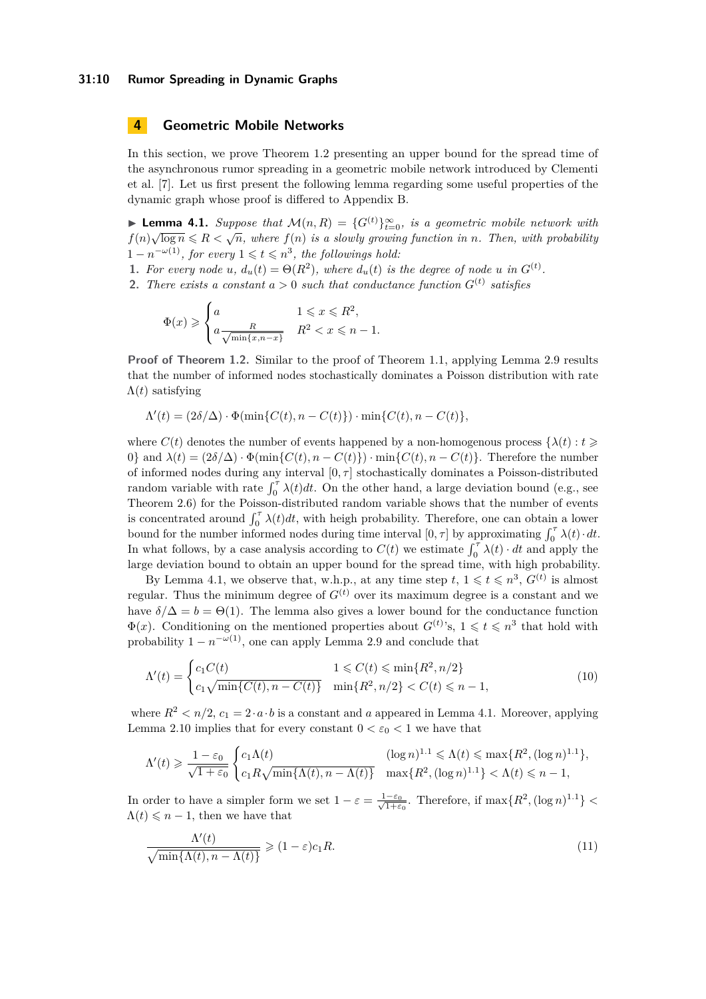### **31:10 Rumor Spreading in Dynamic Graphs**

# <span id="page-9-0"></span>**4 Geometric Mobile Networks**

In this section, we prove Theorem [1.2](#page-2-1) presenting an upper bound for the spread time of the asynchronous rumor spreading in a geometric mobile network introduced by Clementi et al. [\[7\]](#page-13-0). Let us first present the following lemma regarding some useful properties of the dynamic graph whose proof is differed to Appendix [B.](#page-15-0)

<span id="page-9-1"></span>**► Lemma 4.1.** *Suppose that*  $\mathcal{M}(n, R) = \{G^{(t)}\}_{t=0}^{\infty}$ , *is a geometric mobile network with f*(*n*) $\sqrt{\log n} \leq R < \sqrt{n}$ , where *f*(*n*) *is a slowly growing function in <i>n.* Then, with probability  $1 - n^{-\omega(1)}$ , for every  $1 \leq t \leq n^3$ , the followings hold:

- **1.** For every node *u*,  $d_u(t) = \Theta(R^2)$ , where  $d_u(t)$  is the degree of node *u* in  $G^{(t)}$ .
- **2.** There exists a constant  $a > 0$  such that conductance function  $G^{(t)}$  satisfies

$$
\Phi(x) \geqslant \begin{cases} a & 1 \leqslant x \leqslant R^2, \\ a \frac{R}{\sqrt{\min\{x, n-x\}}} & R^2 < x \leqslant n-1. \end{cases}
$$

**Proof of Theorem [1.2.](#page-2-1)** Similar to the proof of Theorem [1.1,](#page-2-0) applying Lemma [2.9](#page-5-0) results that the number of informed nodes stochastically dominates a Poisson distribution with rate Λ(*t*) satisfying

$$
\Lambda'(t) = (2\delta/\Delta) \cdot \Phi(\min\{C(t), n - C(t)\}) \cdot \min\{C(t), n - C(t)\},
$$

where  $C(t)$  denotes the number of events happened by a non-homogenous process  $\{\lambda(t): t \geq 0\}$ 0} and  $\lambda(t) = (2\delta/\Delta) \cdot \Phi(\min\{C(t), n - C(t)\}) \cdot \min\{C(t), n - C(t)\}.$  Therefore the number of informed nodes during any interval  $[0, \tau]$  stochastically dominates a Poisson-distributed random variable with rate  $\int_0^{\tau} \lambda(t) dt$ . On the other hand, a large deviation bound (e.g., see Theorem [2.6\)](#page-4-2) for the Poisson-distributed random variable shows that the number of events is concentrated around  $\int_0^{\tau} \lambda(t) dt$ , with heigh probability. Therefore, one can obtain a lower bound for the number informed nodes during time interval  $[0, \tau]$  by approximating  $\int_0^{\tau} \lambda(t) \cdot dt$ . In what follows, by a case analysis according to  $C(t)$  we estimate  $\int_0^{\tau} \lambda(t) \cdot dt$  and apply the large deviation bound to obtain an upper bound for the spread time, with high probability.

By Lemma [4.1,](#page-9-1) we observe that, w.h.p., at any time step  $t, 1 \leqslant t \leqslant n^3, G^{(t)}$  is almost regular. Thus the minimum degree of  $G^{(t)}$  over its maximum degree is a constant and we have  $\delta/\Delta = b = \Theta(1)$ . The lemma also gives a lower bound for the conductance function  $\Phi(x)$ . Conditioning on the mentioned properties about  $G^{(t)}$ 's,  $1 \leq t \leq n^3$  that hold with probability  $1 - n^{-\omega(1)}$ , one can apply Lemma [2.9](#page-5-0) and conclude that

<span id="page-9-2"></span>
$$
\Lambda'(t) = \begin{cases} c_1 C(t) & 1 \le C(t) \le \min\{R^2, n/2\} \\ c_1 \sqrt{\min\{C(t), n - C(t)\}} & \min\{R^2, n/2\} < C(t) \le n - 1, \end{cases}
$$
(10)

where  $R^2 < n/2$ ,  $c_1 = 2 \cdot a \cdot b$  is a constant and *a* appeared in Lemma [4.1.](#page-9-1) Moreover, applying Lemma [2.10](#page-6-1) implies that for every constant  $0 < \varepsilon_0 < 1$  we have that

$$
\Lambda'(t) \geq \frac{1-\varepsilon_0}{\sqrt{1+\varepsilon_0}} \begin{cases} c_1 \Lambda(t) & (\log n)^{1.1} \leq \Lambda(t) \leq \max\{R^2, (\log n)^{1.1}\}, \\ c_1 R \sqrt{\min\{\Lambda(t), n - \Lambda(t)\}} & \max\{R^2, (\log n)^{1.1}\} < \Lambda(t) \leq n-1, \end{cases}
$$

In order to have a simpler form we set  $1 - \varepsilon = \frac{1 - \varepsilon_0}{\sqrt{1 - \varepsilon_0}}$  $\frac{-\varepsilon_0}{1+\varepsilon_0}$ . Therefore, if  $\max\{R^2, (\log n)^{1.1}\}$  $\Lambda(t) \leqslant n-1$ , then we have that

<span id="page-9-3"></span>
$$
\frac{\Lambda'(t)}{\sqrt{\min\{\Lambda(t), n - \Lambda(t)\}}} \geqslant (1 - \varepsilon)c_1 R. \tag{11}
$$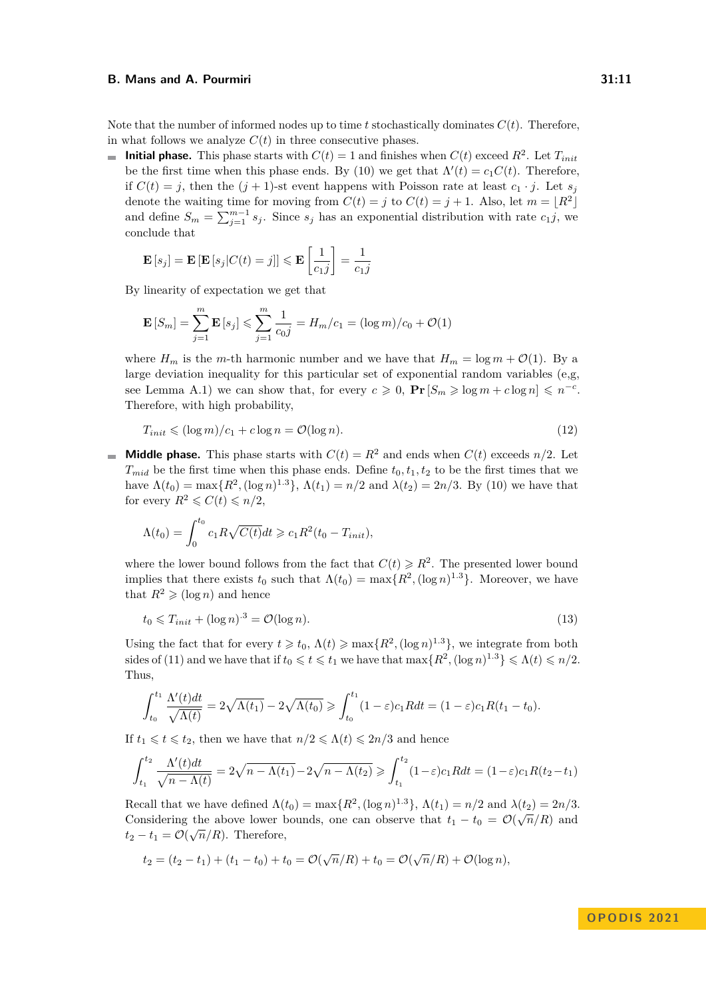Note that the number of informed nodes up to time  $t$  stochastically dominates  $C(t)$ . Therefore, in what follows we analyze  $C(t)$  in three consecutive phases.

**Initial phase.** This phase starts with  $C(t) = 1$  and finishes when  $C(t)$  exceed  $R^2$ . Let  $T_{init}$ be the first time when this phase ends. By [\(10\)](#page-9-2) we get that  $\Lambda'(t) = c_1 C(t)$ . Therefore, if  $C(t) = j$ , then the  $(j + 1)$ -st event happens with Poisson rate at least  $c_1 \cdot j$ . Let  $s_j$ denote the waiting time for moving from  $C(t) = j$  to  $C(t) = j + 1$ . Also, let  $m = |R^2|$ and define  $S_m = \sum_{j=1}^{m-1} s_j$ . Since  $s_j$  has an exponential distribution with rate  $c_1j$ , we conclude that

$$
\mathbf{E}\left[s_j\right] = \mathbf{E}\left[\mathbf{E}\left[s_j|C(t) = j\right]\right] \leqslant \mathbf{E}\left[\frac{1}{c_{1}j}\right] = \frac{1}{c_{1}j}
$$

By linearity of expectation we get that

$$
\mathbf{E}\left[S_m\right] = \sum_{j=1}^m \mathbf{E}\left[s_j\right] \leq \sum_{j=1}^m \frac{1}{c_0 j} = H_m/c_1 = (\log m)/c_0 + \mathcal{O}(1)
$$

where  $H_m$  is the *m*-th harmonic number and we have that  $H_m = \log m + O(1)$ . By a large deviation inequality for this particular set of exponential random variables (e,g, see Lemma [A.1\)](#page-9-1) we can show that, for every  $c \ge 0$ ,  $\Pr[S_m \ge \log m + c \log n] \le n^{-c}$ . Therefore, with high probability,

$$
T_{init} \leqslant (\log m)/c_1 + c \log n = \mathcal{O}(\log n). \tag{12}
$$

**Middle phase.** This phase starts with  $C(t) = R^2$  and ends when  $C(t)$  exceeds  $n/2$ . Let  $T_{mid}$  be the first time when this phase ends. Define  $t_0, t_1, t_2$  to be the first times that we have  $\Lambda(t_0) = \max\{R^2, (\log n)^{1.3}\}, \Lambda(t_1) = n/2$  and  $\lambda(t_2) = 2n/3$ . By [\(10\)](#page-9-2) we have that for every  $R^2 \leqslant C(t) \leqslant n/2$ ,

$$
\Lambda(t_0) = \int_0^{t_0} c_1 R \sqrt{C(t)} dt \geqslant c_1 R^2(t_0 - T_{init}),
$$

where the lower bound follows from the fact that  $C(t) \ge R^2$ . The presented lower bound implies that there exists  $t_0$  such that  $\Lambda(t_0) = \max\{R^2, (\log n)^{1.3}\}\.$  Moreover, we have that  $R^2 \geqslant (\log n)$  and hence

<span id="page-10-0"></span>
$$
t_0 \leq T_{init} + (\log n)^{3} = \mathcal{O}(\log n). \tag{13}
$$

Using the fact that for every  $t \geq t_0$ ,  $\Lambda(t) \geq \max\{R^2, (\log n)^{1.3}\}$ , we integrate from both sides of [\(11\)](#page-9-3) and we have that if  $t_0 \leqslant t \leqslant t_1$  we have that  $\max\{R^2, (\log n)^{1.3}\} \leqslant \Lambda(t) \leqslant n/2$ . Thus,

$$
\int_{t_0}^{t_1} \frac{\Lambda'(t)dt}{\sqrt{\Lambda(t)}} = 2\sqrt{\Lambda(t_1)} - 2\sqrt{\Lambda(t_0)} \ge \int_{t_0}^{t_1} (1-\varepsilon)c_1 R dt = (1-\varepsilon)c_1 R(t_1-t_0).
$$

If  $t_1 \leq t \leq t_2$ , then we have that  $n/2 \leq \Lambda(t) \leq 2n/3$  and hence

$$
\int_{t_1}^{t_2} \frac{\Lambda'(t)dt}{\sqrt{n - \Lambda(t)}} = 2\sqrt{n - \Lambda(t_1)} - 2\sqrt{n - \Lambda(t_2)} \ge \int_{t_1}^{t_2} (1 - \varepsilon)c_1 R dt = (1 - \varepsilon)c_1 R(t_2 - t_1)
$$

Recall that we have defined  $\Lambda(t_0) = \max\{R^2, (\log n)^{1.3}\}, \Lambda(t_1) = n/2$  and  $\lambda(t_2) = 2n/3$ . Considering the above lower bounds, one can observe that  $t_1 - t_0 = \mathcal{O}(\sqrt{n/R})$  and  $t_2 - t_1 = \mathcal{O}(\sqrt{n}/R)$ . Therefore,

$$
t_2 = (t_2 - t_1) + (t_1 - t_0) + t_0 = \mathcal{O}(\sqrt{n}/R) + t_0 = \mathcal{O}(\sqrt{n}/R) + \mathcal{O}(\log n),
$$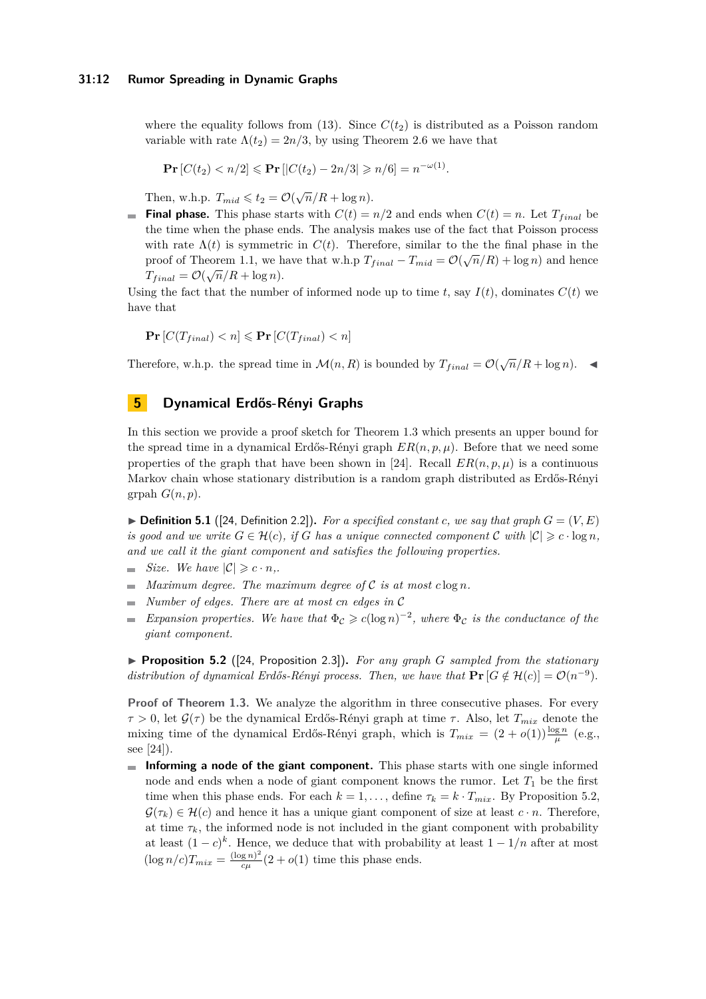where the equality follows from [\(13\)](#page-10-0). Since  $C(t_2)$  is distributed as a Poisson random variable with rate  $\Lambda(t_2) = 2n/3$ , by using Theorem [2.6](#page-4-2) we have that

$$
\Pr\left[C(t_2) < n/2\right] \leqslant \Pr\left[\left|C(t_2) - 2n/3\right| \geqslant n/6\right] = n^{-\omega(1)}.
$$

Then, w.h.p.  $T_{mid} \leq t_2 = \mathcal{O}(\sqrt{n}/R + \log n)$ .

**Final phase.** This phase starts with  $C(t) = n/2$  and ends when  $C(t) = n$ . Let  $T_{final}$  be the time when the phase ends. The analysis makes use of the fact that Poisson process with rate  $\Lambda(t)$  is symmetric in  $C(t)$ . Therefore, similar to the the final phase in the proof of Theorem [1.1,](#page-2-0) we have that w.h.p  $T_{final} - T_{mid} = \mathcal{O}(\sqrt{n}/R) + \log n$  and hence  $T_{final} = \mathcal{O}(\sqrt{n}/R + \log n).$ 

Using the fact that the number of informed node up to time  $t$ , say  $I(t)$ , dominates  $C(t)$  we have that

$$
\mathbf{Pr}\left[C(T_{final}) < n\right] \leqslant \mathbf{Pr}\left[C(T_{final}) < n\right]
$$

Therefore, w.h.p. the spread time in  $\mathcal{M}(n, R)$  is bounded by  $T_{final} = \mathcal{O}(\sqrt{n}/R + \log n)$ .

# <span id="page-11-0"></span>**5 Dynamical Erdős-Rényi Graphs**

In this section we provide a proof sketch for Theorem [1.3](#page-3-1) which presents an upper bound for the spread time in a dynamical Erdős-Rényi graph  $ER(n, p, \mu)$ . Before that we need some properties of the graph that have been shown in [\[24\]](#page-14-7). Recall  $ER(n, p, \mu)$  is a continuous Markov chain whose stationary distribution is a random graph distributed as Erdős-Rényi grpah  $G(n, p)$ .

 $\blacktriangleright$  **Definition 5.1** ([\[24,](#page-14-7) Definition 2.2]). For a specified constant *c*, we say that graph  $G = (V, E)$ *is good and we write*  $G \in \mathcal{H}(c)$ *, if G has a unique connected component*  $C$  *with*  $|C| \geqslant c \cdot \log n$ *, and we call it the giant component and satisfies the following properties.*

- *size.* We have  $|C| \geqslant c \cdot n$ .
- *Maximum degree. The maximum degree of*  $C$  *is at most*  $c \log n$ *.*  $\blacksquare$
- *Number of edges. There are at most cn edges in* C  $\overline{\phantom{a}}$
- *Expansion properties.* We have that  $\Phi_c \geqslant c(\log n)^{-2}$ , where  $\Phi_c$  is the conductance of the  $\blacksquare$ *giant component.*

<span id="page-11-1"></span>▶ **Proposition 5.2** ([\[24,](#page-14-7) Proposition 2.3])**.** *For any graph G sampled from the stationary distribution of dynamical Erdős-Rényi process. Then, we have that*  $\mathbf{Pr}[G \notin \mathcal{H}(c)] = \mathcal{O}(n^{-9})$ .

**Proof of Theorem [1.3.](#page-3-1)** We analyze the algorithm in three consecutive phases. For every *τ* > 0, let  $\mathcal{G}(\tau)$  be the dynamical Erdős-Rényi graph at time *τ*. Also, let  $T_{mix}$  denote the mixing time of the dynamical Erdős-Rényi graph, which is  $T_{mix} = (2 + o(1)) \frac{\log n}{\mu}$  (e.g., see [\[24\]](#page-14-7)).

**Informing a node of the giant component.** This phase starts with one single informed node and ends when a node of giant component knows the rumor. Let  $T_1$  be the first time when this phase ends. For each  $k = 1, \ldots$ , define  $\tau_k = k \cdot T_{mix}$ . By Proposition [5.2,](#page-11-1)  $\mathcal{G}(\tau_k) \in \mathcal{H}(c)$  and hence it has a unique giant component of size at least  $c \cdot n$ . Therefore, at time  $\tau_k$ , the informed node is not included in the giant component with probability at least  $(1-c)^k$ . Hence, we deduce that with probability at least  $1-1/n$  after at most  $(\log n/c)T_{mix} = \frac{(\log n)^2}{c\mu}$  $\frac{g(n)}{c\mu}(2+o(1))$  time this phase ends.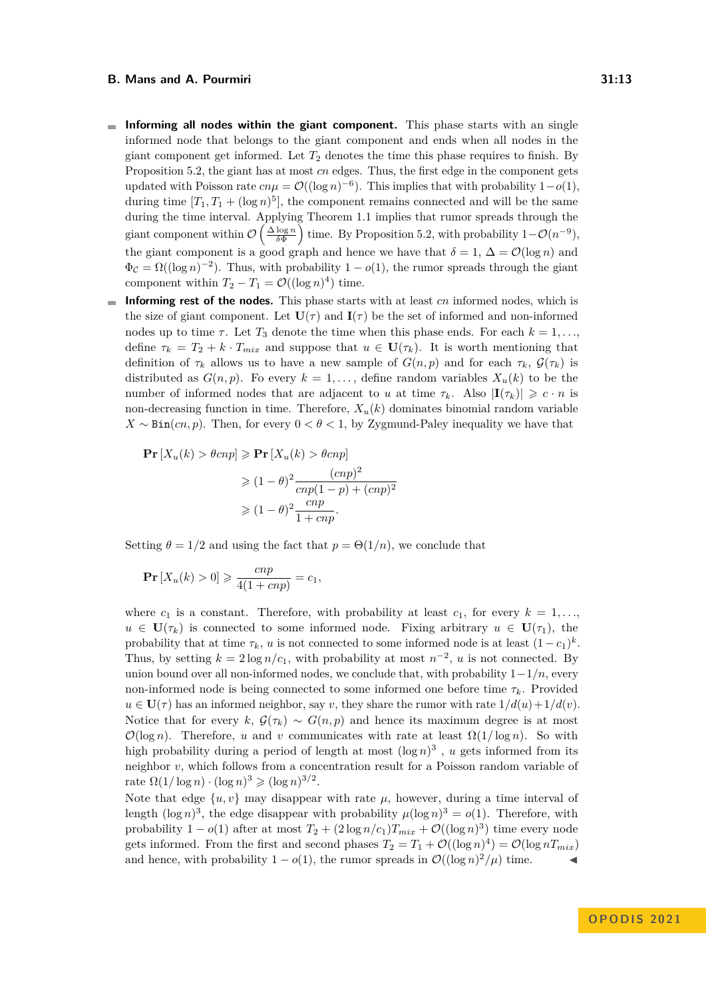- **Informing all nodes within the giant component.** This phase starts with an single m. informed node that belongs to the giant component and ends when all nodes in the giant component get informed. Let  $T_2$  denotes the time this phase requires to finish. By Proposition [5.2,](#page-11-1) the giant has at most *cn* edges. Thus, the first edge in the component gets updated with Poisson rate  $cn\mu = \mathcal{O}((\log n)^{-6})$ . This implies that with probability 1-*o*(1), during time  $[T_1, T_1 + (\log n)^5]$ , the component remains connected and will be the same during the time interval. Applying Theorem [1.1](#page-2-0) implies that rumor spreads through the giant component within  $\mathcal{O}\left(\frac{\Delta \log n}{\delta \Phi}\right)$  time. By Proposition [5.2,](#page-11-1) with probability  $1-\mathcal{O}(n^{-9})$ , the giant component is a good graph and hence we have that  $\delta = 1$ ,  $\Delta = \mathcal{O}(\log n)$  and  $\Phi_{\mathcal{C}} = \Omega((\log n)^{-2})$ . Thus, with probability  $1 - o(1)$ , the rumor spreads through the giant component within  $T_2 - T_1 = \mathcal{O}((\log n)^4)$  time.
- **Informing rest of the nodes.** This phase starts with at least *cn* informed nodes, which is  $\overline{\phantom{a}}$ the size of giant component. Let  $U(\tau)$  and  $I(\tau)$  be the set of informed and non-informed nodes up to time  $\tau$ . Let  $T_3$  denote the time when this phase ends. For each  $k = 1, \ldots$ define  $\tau_k = T_2 + k \cdot T_{mix}$  and suppose that  $u \in \mathbf{U}(\tau_k)$ . It is worth mentioning that definition of  $\tau_k$  allows us to have a new sample of  $G(n, p)$  and for each  $\tau_k$ ,  $\mathcal{G}(\tau_k)$  is distributed as  $G(n, p)$ . Fo every  $k = 1, \ldots$ , define random variables  $X_u(k)$  to be the number of informed nodes that are adjacent to *u* at time  $\tau_k$ . Also  $|I(\tau_k)| \geqslant c \cdot n$  is non-decreasing function in time. Therefore,  $X_u(k)$  dominates binomial random variable  $X \sim \text{Bin}(cn, p)$ . Then, for every  $0 \lt \theta \lt 1$ , by Zygmund-Paley inequality we have that

$$
\begin{aligned} \Pr\left[X_u(k) > \theta c n p\right] > \Pr\left[X_u(k) > \theta c n p\right] \\ > (1 - \theta)^2 \frac{(c n p)^2}{c n p (1 - p) + (c n p)^2} \\ > (1 - \theta)^2 \frac{c n p}{1 + c n p} .\end{aligned}
$$

Setting  $\theta = 1/2$  and using the fact that  $p = \Theta(1/n)$ , we conclude that

$$
\mathbf{Pr}\left[X_u(k) > 0\right] \geqslant \frac{cnp}{4(1 + cnp)} = c_1,
$$

where  $c_1$  is a constant. Therefore, with probability at least  $c_1$ , for every  $k = 1, \ldots$  $u \in U(\tau_k)$  is connected to some informed node. Fixing arbitrary  $u \in U(\tau_1)$ , the probability that at time  $\tau_k$ , *u* is not connected to some informed node is at least  $(1 - c_1)^k$ . Thus, by setting  $k = 2 \log n/c_1$ , with probability at most  $n^{-2}$ , *u* is not connected. By union bound over all non-informed nodes, we conclude that, with probability 1−1*/n*, every non-informed node is being connected to some informed one before time  $\tau_k$ . Provided  $u \in U(\tau)$  has an informed neighbor, say *v*, they share the rumor with rate  $1/d(u) + 1/d(v)$ . Notice that for every  $k$ ,  $\mathcal{G}(\tau_k) \sim G(n, p)$  and hence its maximum degree is at most  $\mathcal{O}(\log n)$ . Therefore, *u* and *v* communicates with rate at least  $\Omega(1/\log n)$ . So with high probability during a period of length at most  $(\log n)^3$ , *u* gets informed from its neighbor *v*, which follows from a concentration result for a Poisson random variable of rate  $\Omega(1/\log n) \cdot (\log n)^3 \geq (\log n)^{3/2}$ .

Note that edge  $\{u, v\}$  may disappear with rate  $\mu$ , however, during a time interval of length  $(\log n)^3$ , the edge disappear with probability  $\mu(\log n)^3 = o(1)$ . Therefore, with probability  $1 - o(1)$  after at most  $T_2 + (2 \log n/c_1) T_{mix} + \mathcal{O}((\log n)^3)$  time every node gets informed. From the first and second phases  $T_2 = T_1 + \mathcal{O}((\log n)^4) = \mathcal{O}(\log n T_{mix})$ and hence, with probability  $1 - o(1)$ , the rumor spreads in  $\mathcal{O}((\log n)^2/\mu)$  time.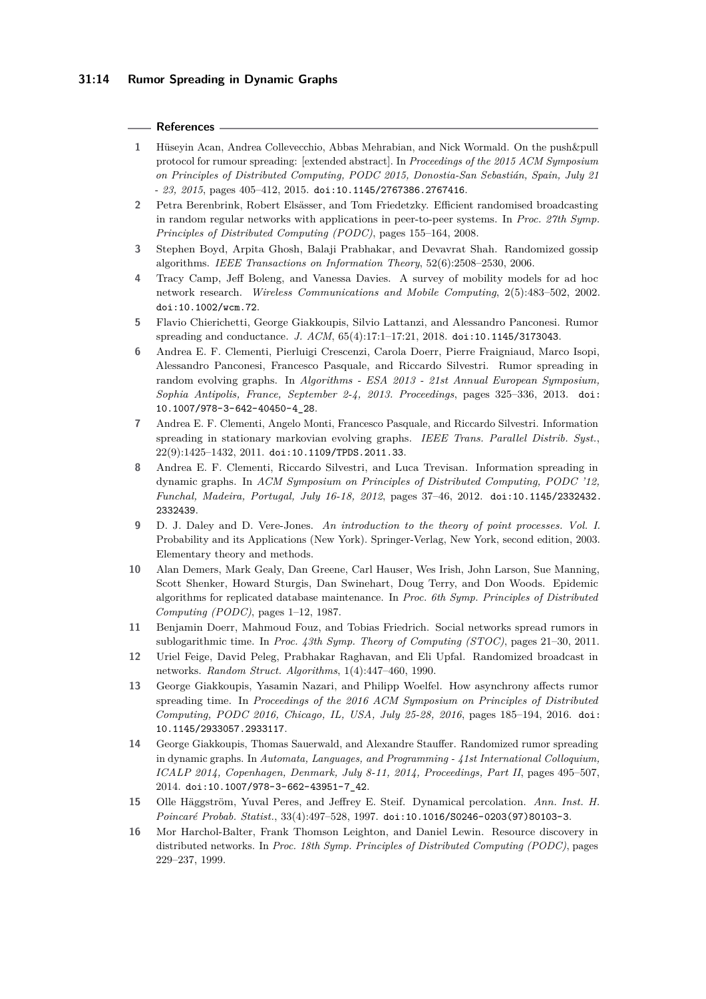### **References**

- <span id="page-13-8"></span>**1** Hüseyin Acan, Andrea Collevecchio, Abbas Mehrabian, and Nick Wormald. On the push&pull protocol for rumour spreading: [extended abstract]. In *Proceedings of the 2015 ACM Symposium on Principles of Distributed Computing, PODC 2015, Donostia-San Sebastián, Spain, July 21 - 23, 2015*, pages 405–412, 2015. [doi:10.1145/2767386.2767416](https://doi.org/10.1145/2767386.2767416).
- <span id="page-13-5"></span>**2** Petra Berenbrink, Robert Elsässer, and Tom Friedetzky. Efficient randomised broadcasting in random regular networks with applications in peer-to-peer systems. In *Proc. 27th Symp. Principles of Distributed Computing (PODC)*, pages 155–164, 2008.
- <span id="page-13-3"></span>**3** Stephen Boyd, Arpita Ghosh, Balaji Prabhakar, and Devavrat Shah. Randomized gossip algorithms. *IEEE Transactions on Information Theory*, 52(6):2508–2530, 2006.
- <span id="page-13-13"></span>**4** Tracy Camp, Jeff Boleng, and Vanessa Davies. A survey of mobility models for ad hoc network research. *Wireless Communications and Mobile Computing*, 2(5):483–502, 2002. [doi:10.1002/wcm.72](https://doi.org/10.1002/wcm.72).
- <span id="page-13-7"></span>**5** Flavio Chierichetti, George Giakkoupis, Silvio Lattanzi, and Alessandro Panconesi. Rumor spreading and conductance. *J. ACM*, 65(4):17:1–17:21, 2018. [doi:10.1145/3173043](https://doi.org/10.1145/3173043).
- <span id="page-13-11"></span>**6** Andrea E. F. Clementi, Pierluigi Crescenzi, Carola Doerr, Pierre Fraigniaud, Marco Isopi, Alessandro Panconesi, Francesco Pasquale, and Riccardo Silvestri. Rumor spreading in random evolving graphs. In *Algorithms - ESA 2013 - 21st Annual European Symposium, Sophia Antipolis, France, September 2-4, 2013. Proceedings*, pages 325–336, 2013. [doi:](https://doi.org/10.1007/978-3-642-40450-4_28) [10.1007/978-3-642-40450-4\\_28](https://doi.org/10.1007/978-3-642-40450-4_28).
- <span id="page-13-0"></span>**7** Andrea E. F. Clementi, Angelo Monti, Francesco Pasquale, and Riccardo Silvestri. Information spreading in stationary markovian evolving graphs. *IEEE Trans. Parallel Distrib. Syst.*, 22(9):1425–1432, 2011. [doi:10.1109/TPDS.2011.33](https://doi.org/10.1109/TPDS.2011.33).
- <span id="page-13-10"></span>**8** Andrea E. F. Clementi, Riccardo Silvestri, and Luca Trevisan. Information spreading in dynamic graphs. In *ACM Symposium on Principles of Distributed Computing, PODC '12, Funchal, Madeira, Portugal, July 16-18, 2012*, pages 37–46, 2012. [doi:10.1145/2332432.](https://doi.org/10.1145/2332432.2332439) [2332439](https://doi.org/10.1145/2332432.2332439).
- <span id="page-13-15"></span>**9** D. J. Daley and D. Vere-Jones. *An introduction to the theory of point processes. Vol. I*. Probability and its Applications (New York). Springer-Verlag, New York, second edition, 2003. Elementary theory and methods.
- <span id="page-13-1"></span>**10** Alan Demers, Mark Gealy, Dan Greene, Carl Hauser, Wes Irish, John Larson, Sue Manning, Scott Shenker, Howard Sturgis, Dan Swinehart, Doug Terry, and Don Woods. Epidemic algorithms for replicated database maintenance. In *Proc. 6th Symp. Principles of Distributed Computing (PODC)*, pages 1–12, 1987.
- <span id="page-13-6"></span>**11** Benjamin Doerr, Mahmoud Fouz, and Tobias Friedrich. Social networks spread rumors in sublogarithmic time. In *Proc. 43th Symp. Theory of Computing (STOC)*, pages 21–30, 2011.
- <span id="page-13-2"></span>**12** Uriel Feige, David Peleg, Prabhakar Raghavan, and Eli Upfal. Randomized broadcast in networks. *Random Struct. Algorithms*, 1(4):447–460, 1990.
- <span id="page-13-9"></span>**13** George Giakkoupis, Yasamin Nazari, and Philipp Woelfel. How asynchrony affects rumor spreading time. In *Proceedings of the 2016 ACM Symposium on Principles of Distributed Computing, PODC 2016, Chicago, IL, USA, July 25-28, 2016*, pages 185–194, 2016. [doi:](https://doi.org/10.1145/2933057.2933117) [10.1145/2933057.2933117](https://doi.org/10.1145/2933057.2933117).
- <span id="page-13-12"></span>**14** George Giakkoupis, Thomas Sauerwald, and Alexandre Stauffer. Randomized rumor spreading in dynamic graphs. In *Automata, Languages, and Programming - 41st International Colloquium, ICALP 2014, Copenhagen, Denmark, July 8-11, 2014, Proceedings, Part II*, pages 495–507, 2014. [doi:10.1007/978-3-662-43951-7\\_42](https://doi.org/10.1007/978-3-662-43951-7_42).
- <span id="page-13-14"></span>**15** Olle Häggström, Yuval Peres, and Jeffrey E. Steif. Dynamical percolation. *Ann. Inst. H. Poincaré Probab. Statist.*, 33(4):497–528, 1997. [doi:10.1016/S0246-0203\(97\)80103-3](https://doi.org/10.1016/S0246-0203(97)80103-3).
- <span id="page-13-4"></span>**16** Mor Harchol-Balter, Frank Thomson Leighton, and Daniel Lewin. Resource discovery in distributed networks. In *Proc. 18th Symp. Principles of Distributed Computing (PODC)*, pages 229–237, 1999.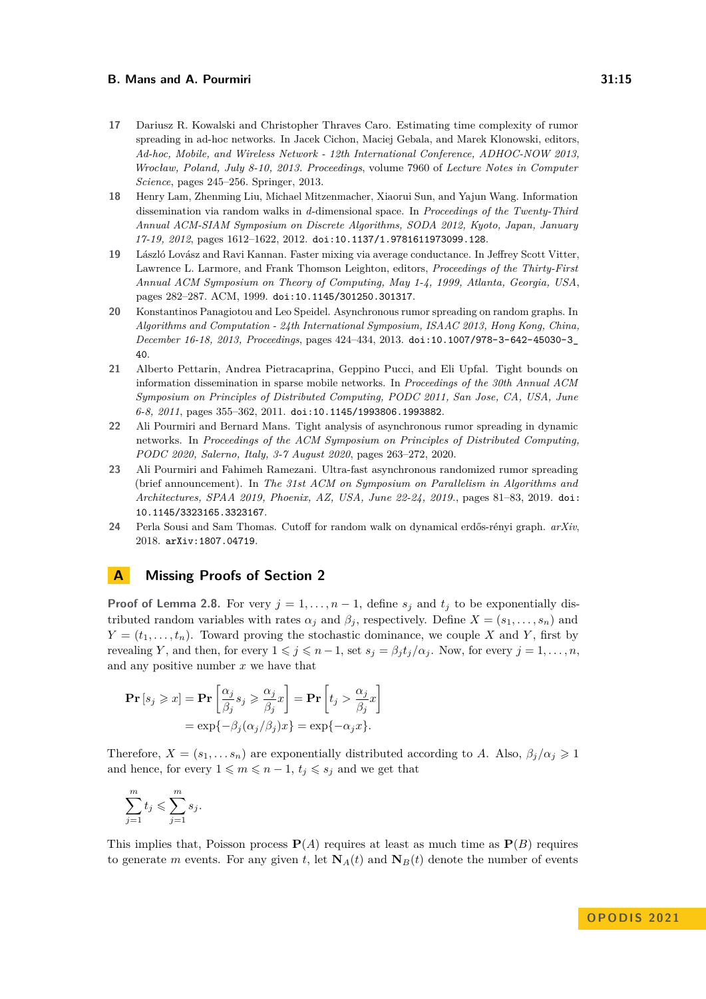- <span id="page-14-5"></span>**17** Dariusz R. Kowalski and Christopher Thraves Caro. Estimating time complexity of rumor spreading in ad-hoc networks. In Jacek Cichon, Maciej Gebala, and Marek Klonowski, editors, *Ad-hoc, Mobile, and Wireless Network - 12th International Conference, ADHOC-NOW 2013, Wrocław, Poland, July 8-10, 2013. Proceedings*, volume 7960 of *Lecture Notes in Computer Science*, pages 245–256. Springer, 2013.
- <span id="page-14-2"></span>**18** Henry Lam, Zhenming Liu, Michael Mitzenmacher, Xiaorui Sun, and Yajun Wang. Information dissemination via random walks in *d*-dimensional space. In *Proceedings of the Twenty-Third Annual ACM-SIAM Symposium on Discrete Algorithms, SODA 2012, Kyoto, Japan, January 17-19, 2012*, pages 1612–1622, 2012. [doi:10.1137/1.9781611973099.128](https://doi.org/10.1137/1.9781611973099.128).
- <span id="page-14-6"></span>**19** László Lovász and Ravi Kannan. Faster mixing via average conductance. In Jeffrey Scott Vitter, Lawrence L. Larmore, and Frank Thomson Leighton, editors, *Proceedings of the Thirty-First Annual ACM Symposium on Theory of Computing, May 1-4, 1999, Atlanta, Georgia, USA*, pages 282–287. ACM, 1999. [doi:10.1145/301250.301317](https://doi.org/10.1145/301250.301317).
- <span id="page-14-0"></span>**20** Konstantinos Panagiotou and Leo Speidel. Asynchronous rumor spreading on random graphs. In *Algorithms and Computation - 24th International Symposium, ISAAC 2013, Hong Kong, China, December 16-18, 2013, Proceedings*, pages 424–434, 2013. [doi:10.1007/978-3-642-45030-3\\_](https://doi.org/10.1007/978-3-642-45030-3_40) [40](https://doi.org/10.1007/978-3-642-45030-3_40).
- <span id="page-14-3"></span>**21** Alberto Pettarin, Andrea Pietracaprina, Geppino Pucci, and Eli Upfal. Tight bounds on information dissemination in sparse mobile networks. In *Proceedings of the 30th Annual ACM Symposium on Principles of Distributed Computing, PODC 2011, San Jose, CA, USA, June 6-8, 2011*, pages 355–362, 2011. [doi:10.1145/1993806.1993882](https://doi.org/10.1145/1993806.1993882).
- <span id="page-14-4"></span>**22** Ali Pourmiri and Bernard Mans. Tight analysis of asynchronous rumor spreading in dynamic networks. In *Proceedings of the ACM Symposium on Principles of Distributed Computing, PODC 2020, Salerno, Italy, 3-7 August 2020*, pages 263–272, 2020.
- <span id="page-14-1"></span>**23** Ali Pourmiri and Fahimeh Ramezani. Ultra-fast asynchronous randomized rumor spreading (brief announcement). In *The 31st ACM on Symposium on Parallelism in Algorithms and Architectures, SPAA 2019, Phoenix, AZ, USA, June 22-24, 2019.*, pages 81–83, 2019. [doi:](https://doi.org/10.1145/3323165.3323167) [10.1145/3323165.3323167](https://doi.org/10.1145/3323165.3323167).
- <span id="page-14-7"></span>**24** Perla Sousi and Sam Thomas. Cutoff for random walk on dynamical erdős-rényi graph. *arXiv*, 2018. [arXiv:1807.04719](http://arxiv.org/abs/1807.04719).

# <span id="page-14-8"></span>**A Missing Proofs of Section [2](#page-3-0)**

**Proof of Lemma [2.8.](#page-5-1)** For very  $j = 1, \ldots, n-1$ , define  $s_j$  and  $t_j$  to be exponentially distributed random variables with rates  $\alpha_j$  and  $\beta_j$ , respectively. Define  $X = (s_1, \ldots, s_n)$  and  $Y = (t_1, \ldots, t_n)$ . Toward proving the stochastic dominance, we couple *X* and *Y*, first by revealing *Y*, and then, for every  $1 \leq j \leq n-1$ , set  $s_j = \beta_j t_j / \alpha_j$ . Now, for every  $j = 1, \ldots, n$ , and any positive number *x* we have that

$$
\begin{aligned} \mathbf{Pr}\left[s_j \geqslant x\right] &= \mathbf{Pr}\left[\frac{\alpha_j}{\beta_j} s_j \geqslant \frac{\alpha_j}{\beta_j} x\right] = \mathbf{Pr}\left[t_j > \frac{\alpha_j}{\beta_j} x\right] \\ &= \exp\{-\beta_j(\alpha_j/\beta_j) x\} = \exp\{-\alpha_j x\}. \end{aligned}
$$

Therefore,  $X = (s_1, \ldots s_n)$  are exponentially distributed according to *A*. Also,  $\beta_j/\alpha_j \geq 1$ and hence, for every  $1 \leq m \leq n-1$ ,  $t_j \leq s_j$  and we get that

$$
\sum_{j=1}^{m} t_j \leqslant \sum_{j=1}^{m} s_j.
$$

This implies that, Poisson process  $P(A)$  requires at least as much time as  $P(B)$  requires to generate *m* events. For any given *t*, let  $N_A(t)$  and  $N_B(t)$  denote the number of events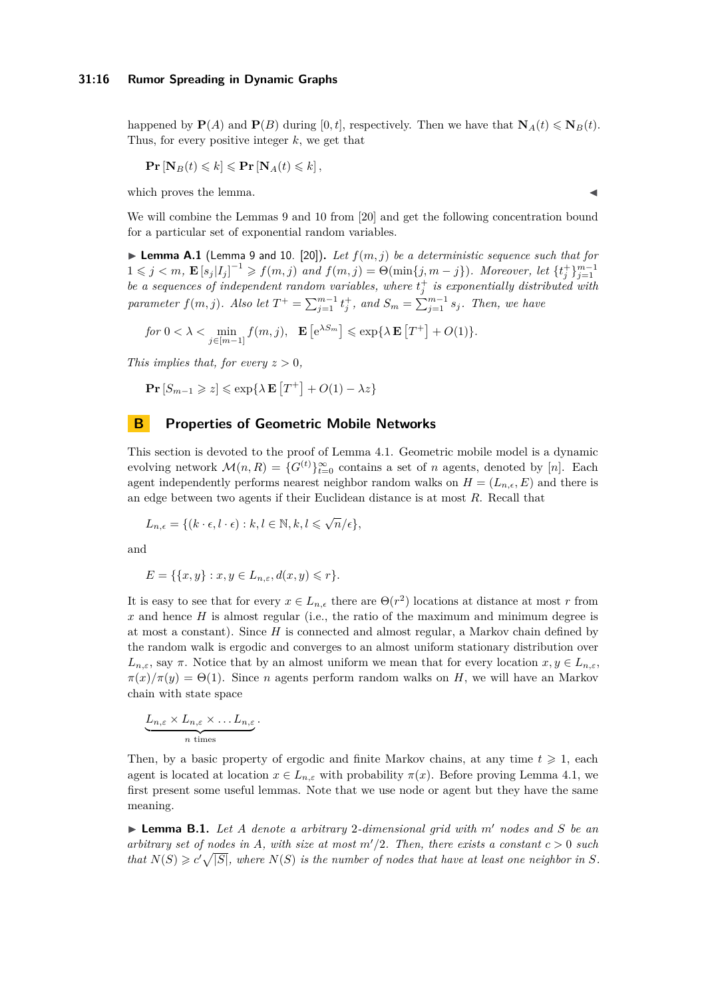happened by  $\mathbf{P}(A)$  and  $\mathbf{P}(B)$  during [0, t], respectively. Then we have that  $\mathbf{N}_A(t) \leq \mathbf{N}_B(t)$ . Thus, for every positive integer *k*, we get that

$$
\mathbf{Pr}\left[\mathbf{N}_B(t) \leq k\right] \leqslant \mathbf{Pr}\left[\mathbf{N}_A(t) \leqslant k\right],
$$

which proves the lemma.

We will combine the Lemmas 9 and 10 from [\[20\]](#page-14-0) and get the following concentration bound for a particular set of exponential random variables.

 $\blacktriangleright$  **Lemma A.1** (Lemma 9 and 10. [\[20\]](#page-14-0)). Let  $f(m, j)$  be a deterministic sequence such that for  $1 \leq j \leq m$ ,  $\mathbf{E}\left[s_j|I_j\right]^{-1} \geq f(m,j)$  and  $f(m,j) = \Theta(\min\{j,m-j\})$ . Moreover, let  $\{t_j^+\}_{j=1}^{m-1}$ be a sequences of independent random variables, where  $t_j^+$  is exponentially distributed with *parameter*  $f(m, j)$ *. Also let*  $T^+ = \sum_{j=1}^{m-1} t_j^+$ *, and*  $S_m = \sum_{j=1}^{m-1} s_j$ *. Then, we have* 

for 
$$
0 < \lambda < \min_{j \in [m-1]} f(m, j)
$$
,  $\mathbf{E} [e^{\lambda S_m}] \le \exp{\lambda \mathbf{E} [T^+] + O(1)}$ .

*This implies that, for every*  $z > 0$ *,* 

$$
\mathbf{Pr}\left[S_{m-1} \geqslant z\right] \leqslant \exp\{\lambda \mathbf{E}\left[T^{+}\right] + O(1) - \lambda z\}
$$

# <span id="page-15-0"></span>**B Properties of Geometric Mobile Networks**

This section is devoted to the proof of Lemma [4.1.](#page-9-1) Geometric mobile model is a dynamic evolving network  $\mathcal{M}(n, R) = \{G^{(t)}\}_{t=0}^{\infty}$  contains a set of *n* agents, denoted by [*n*]. Each agent independently performs nearest neighbor random walks on  $H = (L_{n,\epsilon}, E)$  and there is an edge between two agents if their Euclidean distance is at most *R*. Recall that

$$
L_{n,\epsilon} = \{ (k \cdot \epsilon, l \cdot \epsilon) : k, l \in \mathbb{N}, k, l \leq \sqrt{n}/\epsilon \},
$$

and

$$
E = \{ \{x, y\} : x, y \in L_{n,\varepsilon}, d(x, y) \leqslant r \}.
$$

It is easy to see that for every  $x \in L_{n,\epsilon}$  there are  $\Theta(r^2)$  locations at distance at most *r* from *x* and hence *H* is almost regular (i.e., the ratio of the maximum and minimum degree is at most a constant). Since *H* is connected and almost regular, a Markov chain defined by the random walk is ergodic and converges to an almost uniform stationary distribution over *L*<sub>*n*,*ε*</sub>, say *π*. Notice that by an almost uniform we mean that for every location *x*, *y*  $\in$  *L*<sub>*n*,*ε*</sub>,  $\pi(x)/\pi(y) = \Theta(1)$ . Since *n* agents perform random walks on *H*, we will have an Markov chain with state space

$$
\underbrace{L_{n,\varepsilon} \times L_{n,\varepsilon} \times \ldots L_{n,\varepsilon}}_{n \text{ times}}.
$$

Then, by a basic property of ergodic and finite Markov chains, at any time  $t \geq 1$ , each agent is located at location  $x \in L_{n,\varepsilon}$  with probability  $\pi(x)$ . Before proving Lemma [4.1,](#page-9-1) we first present some useful lemmas. Note that we use node or agent but they have the same meaning.

▶ **Lemma B.1.** *Let A denote a arbitrary* 2*-dimensional grid with m*′ *nodes and S be an arbitrary set of nodes in A, with size at most*  $m'/2$ *. Then, there exists a constant*  $c > 0$  *such that*  $N(S) \geq c' \sqrt{|S|}$ , where  $N(S)$  *is the number of nodes that have at least one neighbor in S.*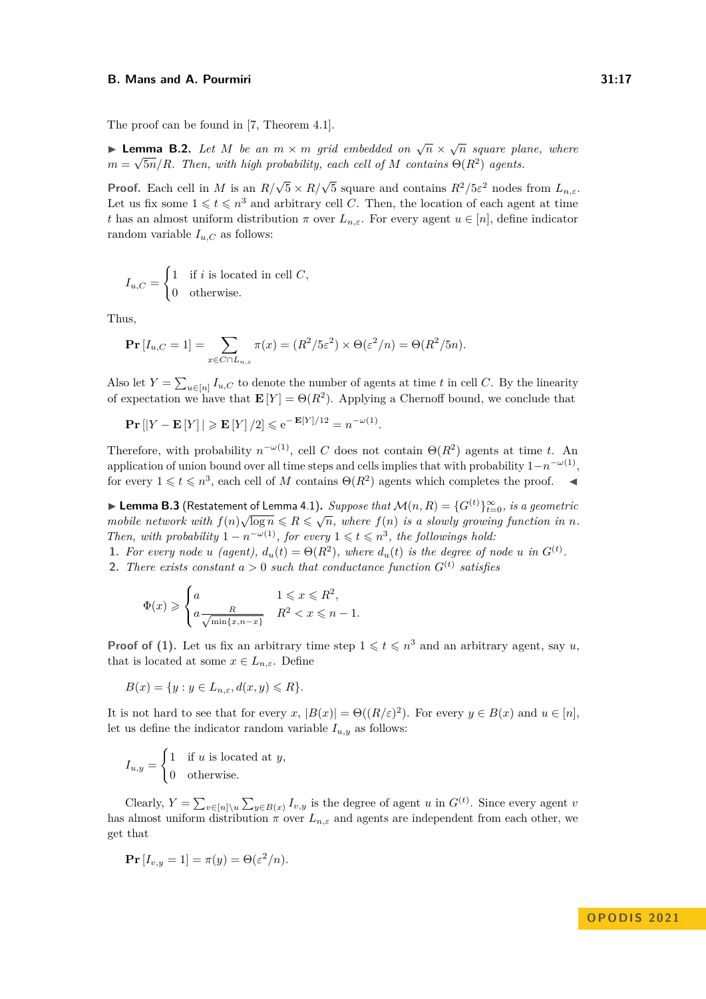The proof can be found in [\[7,](#page-13-0) Theorem 4.1].

<span id="page-16-0"></span>**► Lemma B.2.** Let *M* be an  $m \times m$  grid embedded on  $\sqrt{n} \times \sqrt{n}$  square plane, where  $m = \sqrt{5n}/R$ *. Then, with high probability, each cell of M contains*  $\Theta(R^2)$  *agents.* 

**Proof.** Each cell in *M* is an  $R/\sqrt{5} \times R/\sqrt{5}$  square and contains  $R^2/5\varepsilon^2$  nodes from  $L_{n,\varepsilon}$ . Let us fix some  $1 \leqslant t \leqslant n^3$  and arbitrary cell *C*. Then, the location of each agent at time *t* has an almost uniform distribution  $\pi$  over  $L_{n,\varepsilon}$ . For every agent  $u \in [n]$ , define indicator random variable  $I_{u,C}$  as follows:

$$
I_{u,C} = \begin{cases} 1 & \text{if } i \text{ is located in cell } C, \\ 0 & \text{otherwise.} \end{cases}
$$

Thus,

$$
\Pr[I_{u,C} = 1] = \sum_{x \in C \cap L_{n,\varepsilon}} \pi(x) = (R^2/5\varepsilon^2) \times \Theta(\varepsilon^2/n) = \Theta(R^2/5n).
$$

Also let  $Y = \sum_{u \in [n]} I_{u,C}$  to denote the number of agents at time *t* in cell *C*. By the linearity of expectation we have that  $\mathbf{E}[Y] = \Theta(R^2)$ . Applying a Chernoff bound, we conclude that

$$
\mathbf{Pr}\left[\left|Y - \mathbf{E}\left[Y\right]\right| \geqslant \mathbf{E}\left[Y\right]/2\right] \leqslant e^{-\mathbf{E}\left[Y\right]/12} = n^{-\omega(1)}.
$$

Therefore, with probability  $n^{-\omega(1)}$ , cell *C* does not contain  $\Theta(R^2)$  agents at time *t*. An application of union bound over all time steps and cells implies that with probability 1−*n* −*ω*(1) , for every  $1 \leq t \leq n^3$ , each cell of *M* contains  $\Theta(R^2)$  agents which completes the proof.  $\blacktriangleleft$ 

**► Lemma B.3** (Restatement of Lemma [4.1\)](#page-9-1). *Suppose that*  $\mathcal{M}(n, R) = \{G^{(t)}\}_{t=0}^{\infty}$ , is a geometric *mobile network with*  $f(n)\sqrt{\log n} \leq R \leq \sqrt{n}$ , where  $f(n)$  *is a slowly growing function in n*. *Then, with probability*  $1 - n^{-\omega(1)}$ *, for every*  $1 \leq t \leq n^3$ *, the followings hold:* 

**1.** For every node *u* (agent),  $d_u(t) = \Theta(R^2)$ , where  $d_u(t)$  is the degree of node *u* in  $G^{(t)}$ .

**2.** There exists constant  $a > 0$  such that conductance function  $G^{(t)}$  satisfies

$$
\Phi(x) \geqslant \begin{cases} a & 1 \leqslant x \leqslant R^2, \\ a \frac{R}{\sqrt{\min\{x, n-x\}}} & R^2 < x \leqslant n-1. \end{cases}
$$

**Proof of (1).** Let us fix an arbitrary time step  $1 \leq t \leq n^3$  and an arbitrary agent, say *u*, that is located at some  $x \in L_{n,\varepsilon}$ . Define

$$
B(x) = \{ y : y \in L_{n,\varepsilon}, d(x, y) \le R \}.
$$

It is not hard to see that for every *x*,  $|B(x)| = \Theta((R/\varepsilon)^2)$ . For every  $y \in B(x)$  and  $u \in [n]$ , let us define the indicator random variable  $I_{u,y}$  as follows:

$$
I_{u,y} = \begin{cases} 1 & \text{if } u \text{ is located at } y, \\ 0 & \text{otherwise.} \end{cases}
$$

Clearly,  $Y = \sum_{v \in [n] \setminus u} \sum_{y \in B(x)} I_{v,y}$  is the degree of agent *u* in  $G^{(t)}$ . Since every agent *v* has almost uniform distribution  $\pi$  over  $L_{n,\varepsilon}$  and agents are independent from each other, we get that

$$
\Pr[I_{v,y} = 1] = \pi(y) = \Theta(\varepsilon^2/n).
$$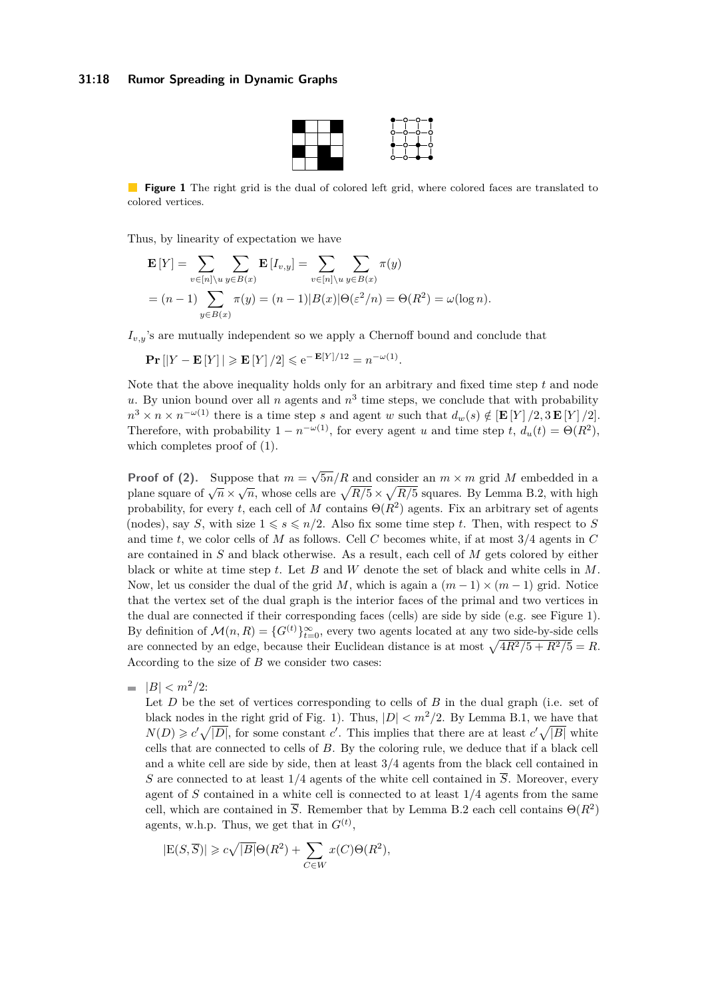### <span id="page-17-0"></span>**31:18 Rumor Spreading in Dynamic Graphs**



**Figure 1** The right grid is the dual of colored left grid, where colored faces are translated to colored vertices.

Thus, by linearity of expectation we have

$$
\mathbf{E}[Y] = \sum_{v \in [n] \setminus u} \sum_{y \in B(x)} \mathbf{E}[I_{v,y}] = \sum_{v \in [n] \setminus u} \sum_{y \in B(x)} \pi(y)
$$
  
=  $(n-1) \sum_{y \in B(x)} \pi(y) = (n-1)|B(x)|\Theta(\varepsilon^2/n) = \Theta(R^2) = \omega(\log n).$ 

 $I_{v,y}$ 's are mutually independent so we apply a Chernoff bound and conclude that

$$
\mathbf{Pr}\left[\left|Y - \mathbf{E}\left[Y\right]\right| \geqslant \mathbf{E}\left[Y\right]/2\right] \leqslant e^{-\mathbf{E}\left[Y\right]/12} = n^{-\omega(1)}.
$$

Note that the above inequality holds only for an arbitrary and fixed time step *t* and node u. By union bound over all *n* agents and  $n<sup>3</sup>$  time steps, we conclude that with probability  $n^3 \times n \times n^{-\omega(1)}$  there is a time step *s* and agent *w* such that  $d_w(s) \notin [\mathbf{E}[Y]/2, 3\mathbf{E}[Y]/2]$ . Therefore, with probability  $1 - n^{-\omega(1)}$ , for every agent *u* and time step *t*,  $d_u(t) = \Theta(R^2)$ , which completes proof of (1).

**Proof of (2).** Suppose that  $m =$ √  $5n/R$  and consider an  $m \times m$  grid M embedded in a plane square of  $\sqrt{n} \times \sqrt{n}$ , whose cells are  $\sqrt{R/5} \times \sqrt{R/5}$  squares. By Lemma [B.2,](#page-16-0) with high probability, for every *t*, each cell of *M* contains  $\Theta(R^2)$  agents. Fix an arbitrary set of agents (nodes), say *S*, with size  $1 \le s \le n/2$ . Also fix some time step *t*. Then, with respect to *S* and time *t*, we color cells of *M* as follows. Cell *C* becomes white, if at most 3*/*4 agents in *C* are contained in *S* and black otherwise. As a result, each cell of *M* gets colored by either black or white at time step *t*. Let *B* and *W* denote the set of black and white cells in *M*. Now, let us consider the dual of the grid *M*, which is again a  $(m-1) \times (m-1)$  grid. Notice that the vertex set of the dual graph is the interior faces of the primal and two vertices in the dual are connected if their corresponding faces (cells) are side by side (e.g. see Figure [1\)](#page-17-0). By definition of  $\mathcal{M}(n, R) = \{G^{(t)}\}_{t=0}^{\infty}$ , every two agents located at any two side-by-side cells are connected by an edge, because their Euclidean distance is at most  $\sqrt{4R^2/5 + R^2/5} = R$ . According to the size of *B* we consider two cases:

 $|B| < m^2/2$ :

Let *D* be the set of vertices corresponding to cells of *B* in the dual graph (i.e. set of black nodes in the right grid of Fig. [1\)](#page-17-0). Thus,  $|D| < m^2/2$ . By Lemma [B.1,](#page-9-1) we have that  $N(D) \geq c' \sqrt{|D|}$ , for some constant *c*'. This implies that there are at least  $c' \sqrt{|B|}$  white cells that are connected to cells of *B*. By the coloring rule, we deduce that if a black cell and a white cell are side by side, then at least 3*/*4 agents from the black cell contained in *S* are connected to at least  $1/4$  agents of the white cell contained in  $\overline{S}$ . Moreover, every agent of *S* contained in a white cell is connected to at least 1*/*4 agents from the same cell, which are contained in  $\overline{S}$ . Remember that by Lemma [B.2](#page-16-0) each cell contains  $\Theta(R^2)$ agents, w.h.p. Thus, we get that in  $G^{(t)}$ ,

$$
|E(S,\overline{S})| \geqslant c\sqrt{|B|}\Theta(R^2) + \sum_{C \in W} x(C)\Theta(R^2),
$$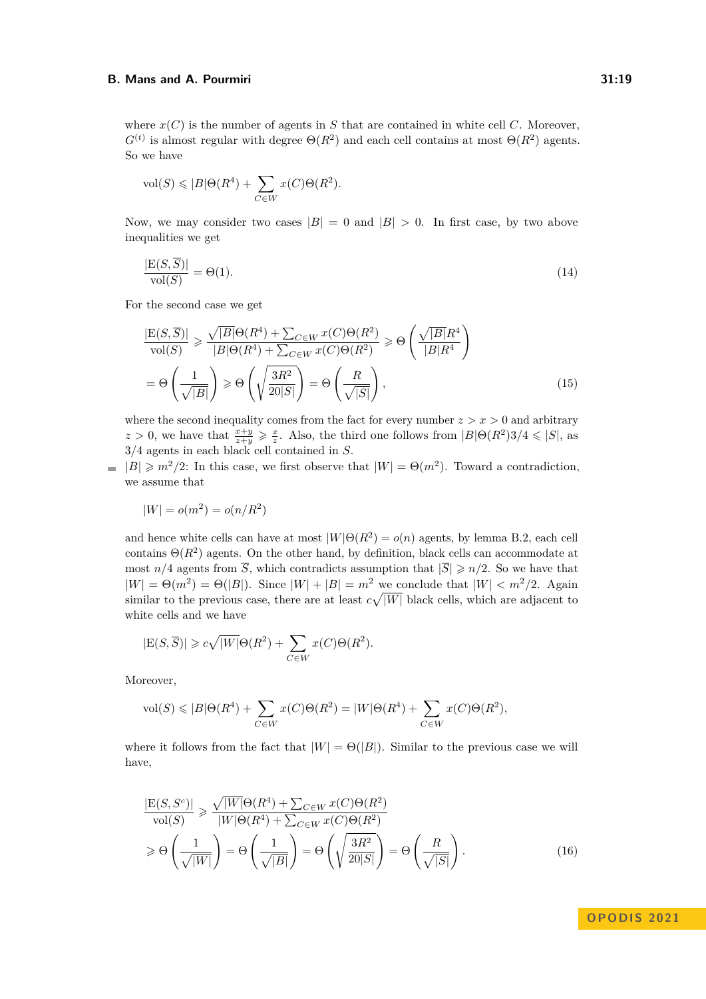where  $x(C)$  is the number of agents in *S* that are contained in white cell *C*. Moreover,  $G<sup>(t)</sup>$  is almost regular with degree  $\Theta(R^2)$  and each cell contains at most  $\Theta(R^2)$  agents. So we have

$$
\text{vol}(S) \leqslant |B|\Theta(R^4) + \sum_{C \in W} x(C)\Theta(R^2).
$$

Now, we may consider two cases  $|B| = 0$  and  $|B| > 0$ . In first case, by two above inequalities we get

<span id="page-18-0"></span>
$$
\frac{|\mathcal{E}(S,\overline{S})|}{\text{vol}(S)} = \Theta(1). \tag{14}
$$

For the second case we get

<span id="page-18-1"></span>
$$
\frac{|E(S,\overline{S})|}{\text{vol}(S)} \ge \frac{\sqrt{|B|}\Theta(R^4) + \sum_{C \in W} x(C)\Theta(R^2)}{|B|\Theta(R^4) + \sum_{C \in W} x(C)\Theta(R^2)} \ge \Theta\left(\frac{\sqrt{|B|}R^4}{|B|R^4}\right)
$$

$$
= \Theta\left(\frac{1}{\sqrt{|B|}}\right) \ge \Theta\left(\sqrt{\frac{3R^2}{20|S|}}\right) = \Theta\left(\frac{R}{\sqrt{|S|}}\right),\tag{15}
$$

where the second inequality comes from the fact for every number  $z > x > 0$  and arbitrary  $z > 0$ , we have that  $\frac{x+y}{z+y} \geqslant \frac{x}{z}$ . Also, the third one follows from  $|B|\Theta(R^2)3/4 \leqslant |S|$ , as 3*/*4 agents in each black cell contained in *S*.

 $|B| \geq m^2/2$ : In this case, we first observe that  $|W| = \Theta(m^2)$ . Toward a contradiction,  $\rightarrow$ we assume that

$$
|W| = o(m^2) = o(n/R^2)
$$

and hence white cells can have at most  $|W|\Theta(R^2) = o(n)$  agents, by lemma [B.2,](#page-16-0) each cell contains  $\Theta(R^2)$  agents. On the other hand, by definition, black cells can accommodate at most  $n/4$  agents from  $\overline{S}$ , which contradicts assumption that  $|\overline{S}| \geq n/2$ . So we have that  $|W| = \Theta(m^2) = \Theta(|B|)$ . Since  $|W| + |B| = m^2$  we conclude that  $|W| < m^2/2$ . Again similar to the previous case, there are at least  $c\sqrt{|W|}$  black cells, which are adjacent to white cells and we have

$$
|E(S,\overline{S})| \geqslant c\sqrt{|W|}\Theta(R^2) + \sum_{C \in W} x(C)\Theta(R^2).
$$

Moreover,

$$
\text{vol}(S) \leqslant |B| \Theta(R^4) + \sum_{C \in W} x(C) \Theta(R^2) = |W| \Theta(R^4) + \sum_{C \in W} x(C) \Theta(R^2),
$$

where it follows from the fact that  $|W| = \Theta(|B|)$ . Similar to the previous case we will have,

$$
\frac{|\mathcal{E}(S, S^c)|}{\text{vol}(S)} \ge \frac{\sqrt{|W|}\Theta(R^4) + \sum_{C \in W} x(C)\Theta(R^2)}{|W|\Theta(R^4) + \sum_{C \in W} x(C)\Theta(R^2)} \ge \Theta\left(\frac{1}{\sqrt{|W|}}\right) = \Theta\left(\frac{1}{\sqrt{|B|}}\right) = \Theta\left(\sqrt{\frac{3R^2}{20|S|}}\right) = \Theta\left(\frac{R}{\sqrt{|S|}}\right).
$$
\n(16)

<span id="page-18-2"></span>**OPODIS 2021**